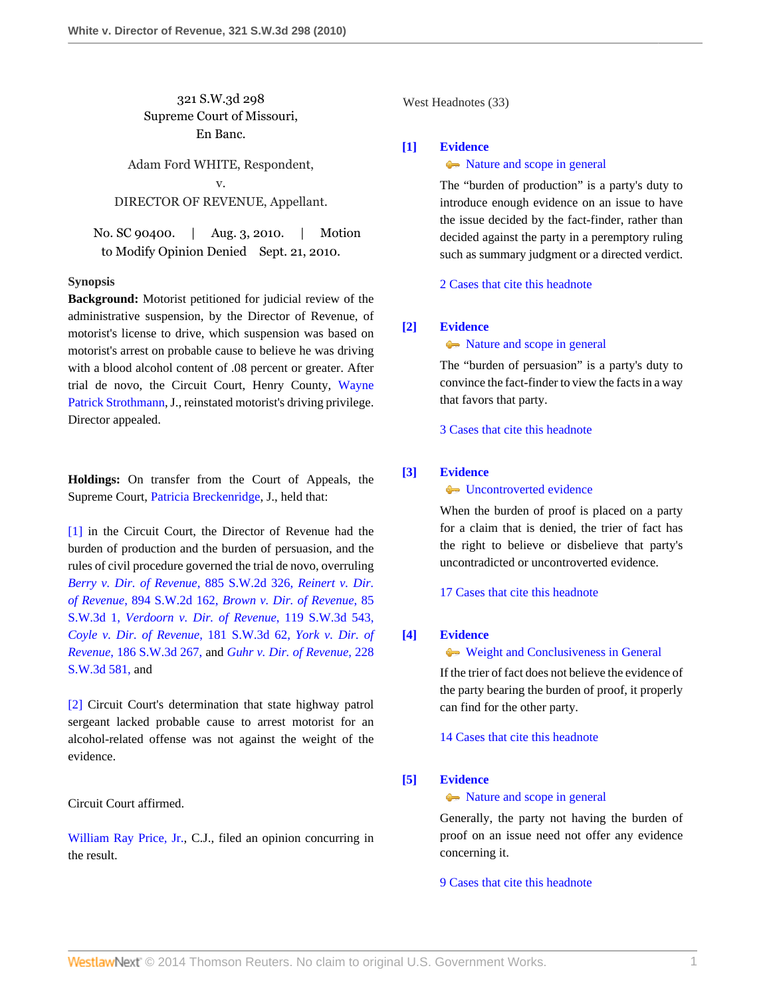321 S.W.3d 298 Supreme Court of Missouri, En Banc.

Adam Ford WHITE, Respondent, v. DIRECTOR OF REVENUE, Appellant.

No. SC 90400. | Aug. 3, 2010. | Motion to Modify Opinion Denied Sept. 21, 2010.

### **Synopsis**

**Background:** Motorist petitioned for judicial review of the administrative suspension, by the Director of Revenue, of motorist's license to drive, which suspension was based on motorist's arrest on probable cause to believe he was driving with a blood alcohol content of .08 percent or greater. After trial de novo, the Circuit Court, Henry County, [Wayne](http://www.westlaw.com/Link/Document/FullText?findType=h&pubNum=176284&cite=0156844901&originatingDoc=I7d53ec1eac4f11df8228ac372eb82649&refType=RQ&originationContext=document&vr=3.0&rs=cblt1.0&transitionType=DocumentItem&contextData=(sc.Search)) [Patrick Strothmann,](http://www.westlaw.com/Link/Document/FullText?findType=h&pubNum=176284&cite=0156844901&originatingDoc=I7d53ec1eac4f11df8228ac372eb82649&refType=RQ&originationContext=document&vr=3.0&rs=cblt1.0&transitionType=DocumentItem&contextData=(sc.Search)) J., reinstated motorist's driving privilege. Director appealed.

**Holdings:** On transfer from the Court of Appeals, the Supreme Court, [Patricia Breckenridge,](http://www.westlaw.com/Link/Document/FullText?findType=h&pubNum=176284&cite=0222756001&originatingDoc=I7d53ec1eac4f11df8228ac372eb82649&refType=RQ&originationContext=document&vr=3.0&rs=cblt1.0&transitionType=DocumentItem&contextData=(sc.Search)) J., held that:

[\[1\]](#page-1-0) in the Circuit Court, the Director of Revenue had the burden of production and the burden of persuasion, and the rules of civil procedure governed the trial de novo, overruling *[Berry v. Dir. of Revenue](http://www.westlaw.com/Link/Document/FullText?findType=Y&serNum=1994212710&pubNum=713&originationContext=document&vr=3.0&rs=cblt1.0&transitionType=DocumentItem&contextData=(sc.Search))*, 885 S.W.2d 326, *[Reinert v. Dir.](http://www.westlaw.com/Link/Document/FullText?findType=Y&serNum=1995058656&pubNum=713&originationContext=document&vr=3.0&rs=cblt1.0&transitionType=DocumentItem&contextData=(sc.Search)) of Revenue*[, 894 S.W.2d 162,](http://www.westlaw.com/Link/Document/FullText?findType=Y&serNum=1995058656&pubNum=713&originationContext=document&vr=3.0&rs=cblt1.0&transitionType=DocumentItem&contextData=(sc.Search)) *[Brown v. Dir. of Revenue](http://www.westlaw.com/Link/Document/FullText?findType=Y&serNum=2002606004&pubNum=4644&originationContext=document&vr=3.0&rs=cblt1.0&transitionType=DocumentItem&contextData=(sc.Search))*, 85 [S.W.3d 1,](http://www.westlaw.com/Link/Document/FullText?findType=Y&serNum=2002606004&pubNum=4644&originationContext=document&vr=3.0&rs=cblt1.0&transitionType=DocumentItem&contextData=(sc.Search)) *[Verdoorn v. Dir. of Revenue](http://www.westlaw.com/Link/Document/FullText?findType=Y&serNum=2003873683&pubNum=4644&originationContext=document&vr=3.0&rs=cblt1.0&transitionType=DocumentItem&contextData=(sc.Search))*, 119 S.W.3d 543, *[Coyle v. Dir. of Revenue](http://www.westlaw.com/Link/Document/FullText?findType=Y&serNum=2007723751&pubNum=4644&originationContext=document&vr=3.0&rs=cblt1.0&transitionType=DocumentItem&contextData=(sc.Search))*, 181 S.W.3d 62, *[York v. Dir. of](http://www.westlaw.com/Link/Document/FullText?findType=Y&serNum=2008726799&pubNum=4644&originationContext=document&vr=3.0&rs=cblt1.0&transitionType=DocumentItem&contextData=(sc.Search)) Revenue*[, 186 S.W.3d 267,](http://www.westlaw.com/Link/Document/FullText?findType=Y&serNum=2008726799&pubNum=4644&originationContext=document&vr=3.0&rs=cblt1.0&transitionType=DocumentItem&contextData=(sc.Search)) and *[Guhr v. Dir. of Revenue](http://www.westlaw.com/Link/Document/FullText?findType=Y&serNum=2012546101&pubNum=4644&originationContext=document&vr=3.0&rs=cblt1.0&transitionType=DocumentItem&contextData=(sc.Search))*, 228 [S.W.3d 581,](http://www.westlaw.com/Link/Document/FullText?findType=Y&serNum=2012546101&pubNum=4644&originationContext=document&vr=3.0&rs=cblt1.0&transitionType=DocumentItem&contextData=(sc.Search)) and

[\[2\]](#page-4-0) Circuit Court's determination that state highway patrol sergeant lacked probable cause to arrest motorist for an alcohol-related offense was not against the weight of the evidence.

Circuit Court affirmed.

[William Ray Price, Jr.](http://www.westlaw.com/Link/Document/FullText?findType=h&pubNum=176284&cite=0219133001&originatingDoc=I7d53ec1eac4f11df8228ac372eb82649&refType=RQ&originationContext=document&vr=3.0&rs=cblt1.0&transitionType=DocumentItem&contextData=(sc.Search)), C.J., filed an opinion concurring in the result.

West Headnotes (33)

## <span id="page-0-0"></span>**[\[1\]](#page-6-0) [Evidence](http://www.westlaw.com/Browse/Home/KeyNumber/157/View.html?docGuid=I7d53ec1eac4f11df8228ac372eb82649&originationContext=document&vr=3.0&rs=cblt1.0&transitionType=DocumentItem&contextData=(sc.Search))**

## $\rightarrow$  [Nature and scope in general](http://www.westlaw.com/Browse/Home/KeyNumber/157k90/View.html?docGuid=I7d53ec1eac4f11df8228ac372eb82649&originationContext=document&vr=3.0&rs=cblt1.0&transitionType=DocumentItem&contextData=(sc.Search))

The "burden of production" is a party's duty to introduce enough evidence on an issue to have the issue decided by the fact-finder, rather than decided against the party in a peremptory ruling such as summary judgment or a directed verdict.

[2 Cases that cite this headnote](http://www.westlaw.com/Link/RelatedInformation/DocHeadnoteLink?docGuid=I7d53ec1eac4f11df8228ac372eb82649&headnoteId=202281110200120101219080504&originationContext=document&vr=3.0&rs=cblt1.0&transitionType=CitingReferences&contextData=(sc.Search))

## <span id="page-0-1"></span>**[\[2\]](#page-6-1) [Evidence](http://www.westlaw.com/Browse/Home/KeyNumber/157/View.html?docGuid=I7d53ec1eac4f11df8228ac372eb82649&originationContext=document&vr=3.0&rs=cblt1.0&transitionType=DocumentItem&contextData=(sc.Search))**

 $\rightarrow$  [Nature and scope in general](http://www.westlaw.com/Browse/Home/KeyNumber/157k90/View.html?docGuid=I7d53ec1eac4f11df8228ac372eb82649&originationContext=document&vr=3.0&rs=cblt1.0&transitionType=DocumentItem&contextData=(sc.Search))

The "burden of persuasion" is a party's duty to convince the fact-finder to view the facts in a way that favors that party.

[3 Cases that cite this headnote](http://www.westlaw.com/Link/RelatedInformation/DocHeadnoteLink?docGuid=I7d53ec1eac4f11df8228ac372eb82649&headnoteId=202281110200220101219080504&originationContext=document&vr=3.0&rs=cblt1.0&transitionType=CitingReferences&contextData=(sc.Search))

## <span id="page-0-2"></span>**[\[3\]](#page-6-2) [Evidence](http://www.westlaw.com/Browse/Home/KeyNumber/157/View.html?docGuid=I7d53ec1eac4f11df8228ac372eb82649&originationContext=document&vr=3.0&rs=cblt1.0&transitionType=DocumentItem&contextData=(sc.Search))**

## • [Uncontroverted evidence](http://www.westlaw.com/Browse/Home/KeyNumber/157k594/View.html?docGuid=I7d53ec1eac4f11df8228ac372eb82649&originationContext=document&vr=3.0&rs=cblt1.0&transitionType=DocumentItem&contextData=(sc.Search))

When the burden of proof is placed on a party for a claim that is denied, the trier of fact has the right to believe or disbelieve that party's uncontradicted or uncontroverted evidence.

[17 Cases that cite this headnote](http://www.westlaw.com/Link/RelatedInformation/DocHeadnoteLink?docGuid=I7d53ec1eac4f11df8228ac372eb82649&headnoteId=202281110200320101219080504&originationContext=document&vr=3.0&rs=cblt1.0&transitionType=CitingReferences&contextData=(sc.Search))

### <span id="page-0-3"></span>**[\[4\]](#page-6-3) [Evidence](http://www.westlaw.com/Browse/Home/KeyNumber/157/View.html?docGuid=I7d53ec1eac4f11df8228ac372eb82649&originationContext=document&vr=3.0&rs=cblt1.0&transitionType=DocumentItem&contextData=(sc.Search))**

[Weight and Conclusiveness in General](http://www.westlaw.com/Browse/Home/KeyNumber/157k584/View.html?docGuid=I7d53ec1eac4f11df8228ac372eb82649&originationContext=document&vr=3.0&rs=cblt1.0&transitionType=DocumentItem&contextData=(sc.Search))

If the trier of fact does not believe the evidence of the party bearing the burden of proof, it properly can find for the other party.

[14 Cases that cite this headnote](http://www.westlaw.com/Link/RelatedInformation/DocHeadnoteLink?docGuid=I7d53ec1eac4f11df8228ac372eb82649&headnoteId=202281110200420101219080504&originationContext=document&vr=3.0&rs=cblt1.0&transitionType=CitingReferences&contextData=(sc.Search))

### <span id="page-0-4"></span>**[\[5\]](#page-6-4) [Evidence](http://www.westlaw.com/Browse/Home/KeyNumber/157/View.html?docGuid=I7d53ec1eac4f11df8228ac372eb82649&originationContext=document&vr=3.0&rs=cblt1.0&transitionType=DocumentItem&contextData=(sc.Search))**

### $\rightarrow$  [Nature and scope in general](http://www.westlaw.com/Browse/Home/KeyNumber/157k90/View.html?docGuid=I7d53ec1eac4f11df8228ac372eb82649&originationContext=document&vr=3.0&rs=cblt1.0&transitionType=DocumentItem&contextData=(sc.Search))

Generally, the party not having the burden of proof on an issue need not offer any evidence concerning it.

[9 Cases that cite this headnote](http://www.westlaw.com/Link/RelatedInformation/DocHeadnoteLink?docGuid=I7d53ec1eac4f11df8228ac372eb82649&headnoteId=202281110200520101219080504&originationContext=document&vr=3.0&rs=cblt1.0&transitionType=CitingReferences&contextData=(sc.Search))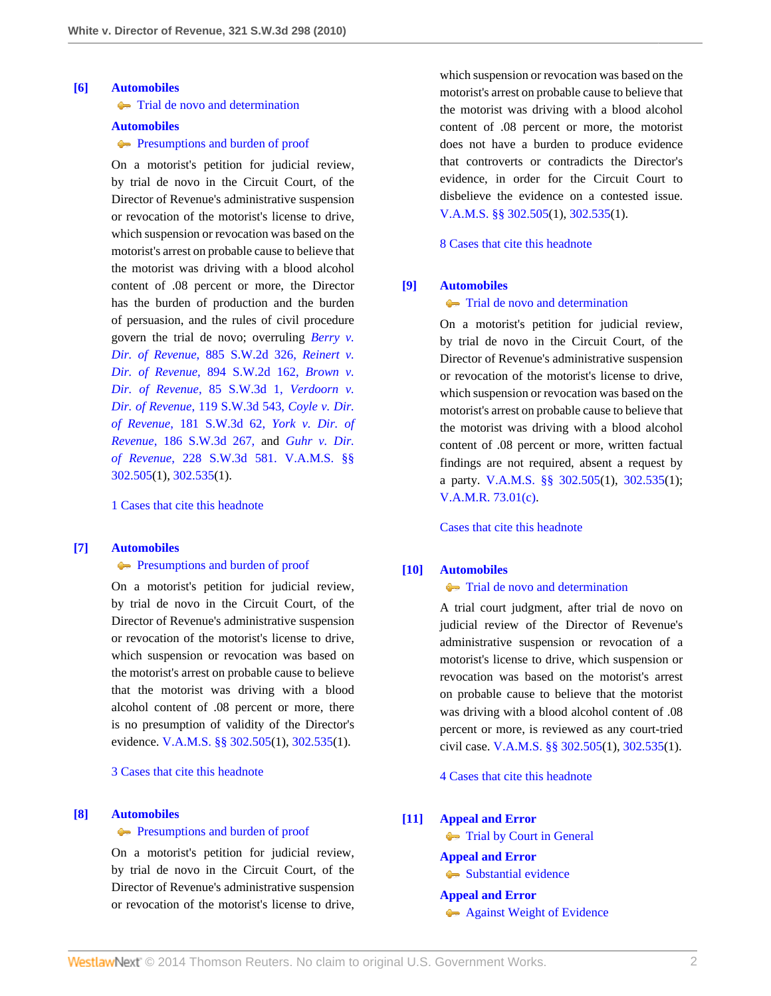### <span id="page-1-0"></span>**[\[6\]](#page-7-0) [Automobiles](http://www.westlaw.com/Browse/Home/KeyNumber/48A/View.html?docGuid=I7d53ec1eac4f11df8228ac372eb82649&originationContext=document&vr=3.0&rs=cblt1.0&transitionType=DocumentItem&contextData=(sc.Search))**

**[Trial de novo and determination](http://www.westlaw.com/Browse/Home/KeyNumber/48Ak144.2(4)/View.html?docGuid=I7d53ec1eac4f11df8228ac372eb82649&originationContext=document&vr=3.0&rs=cblt1.0&transitionType=DocumentItem&contextData=(sc.Search))** 

#### **[Automobiles](http://www.westlaw.com/Browse/Home/KeyNumber/48A/View.html?docGuid=I7d53ec1eac4f11df8228ac372eb82649&originationContext=document&vr=3.0&rs=cblt1.0&transitionType=DocumentItem&contextData=(sc.Search))**

**[Presumptions and burden of proof](http://www.westlaw.com/Browse/Home/KeyNumber/48Ak144.2(9.6)/View.html?docGuid=I7d53ec1eac4f11df8228ac372eb82649&originationContext=document&vr=3.0&rs=cblt1.0&transitionType=DocumentItem&contextData=(sc.Search))** 

On a motorist's petition for judicial review, by trial de novo in the Circuit Court, of the Director of Revenue's administrative suspension or revocation of the motorist's license to drive, which suspension or revocation was based on the motorist's arrest on probable cause to believe that the motorist was driving with a blood alcohol content of .08 percent or more, the Director has the burden of production and the burden of persuasion, and the rules of civil procedure govern the trial de novo; overruling *[Berry v.](http://www.westlaw.com/Link/Document/FullText?findType=Y&serNum=1994212710&pubNum=713&originationContext=document&vr=3.0&rs=cblt1.0&transitionType=DocumentItem&contextData=(sc.Search)) Dir. of Revenue*[, 885 S.W.2d 326,](http://www.westlaw.com/Link/Document/FullText?findType=Y&serNum=1994212710&pubNum=713&originationContext=document&vr=3.0&rs=cblt1.0&transitionType=DocumentItem&contextData=(sc.Search)) *[Reinert v.](http://www.westlaw.com/Link/Document/FullText?findType=Y&serNum=1995058656&pubNum=713&originationContext=document&vr=3.0&rs=cblt1.0&transitionType=DocumentItem&contextData=(sc.Search)) Dir. of Revenue*[, 894 S.W.2d 162,](http://www.westlaw.com/Link/Document/FullText?findType=Y&serNum=1995058656&pubNum=713&originationContext=document&vr=3.0&rs=cblt1.0&transitionType=DocumentItem&contextData=(sc.Search)) *[Brown v.](http://www.westlaw.com/Link/Document/FullText?findType=Y&serNum=2002606004&pubNum=4644&originationContext=document&vr=3.0&rs=cblt1.0&transitionType=DocumentItem&contextData=(sc.Search)) [Dir. of Revenue](http://www.westlaw.com/Link/Document/FullText?findType=Y&serNum=2002606004&pubNum=4644&originationContext=document&vr=3.0&rs=cblt1.0&transitionType=DocumentItem&contextData=(sc.Search))*, 85 S.W.3d 1, *[Verdoorn v.](http://www.westlaw.com/Link/Document/FullText?findType=Y&serNum=2003873683&pubNum=4644&originationContext=document&vr=3.0&rs=cblt1.0&transitionType=DocumentItem&contextData=(sc.Search)) Dir. of Revenue*[, 119 S.W.3d 543,](http://www.westlaw.com/Link/Document/FullText?findType=Y&serNum=2003873683&pubNum=4644&originationContext=document&vr=3.0&rs=cblt1.0&transitionType=DocumentItem&contextData=(sc.Search)) *[Coyle v. Dir.](http://www.westlaw.com/Link/Document/FullText?findType=Y&serNum=2007723751&pubNum=4644&originationContext=document&vr=3.0&rs=cblt1.0&transitionType=DocumentItem&contextData=(sc.Search)) of Revenue*[, 181 S.W.3d 62,](http://www.westlaw.com/Link/Document/FullText?findType=Y&serNum=2007723751&pubNum=4644&originationContext=document&vr=3.0&rs=cblt1.0&transitionType=DocumentItem&contextData=(sc.Search)) *[York v. Dir. of](http://www.westlaw.com/Link/Document/FullText?findType=Y&serNum=2008726799&pubNum=4644&originationContext=document&vr=3.0&rs=cblt1.0&transitionType=DocumentItem&contextData=(sc.Search)) Revenue*[, 186 S.W.3d 267,](http://www.westlaw.com/Link/Document/FullText?findType=Y&serNum=2008726799&pubNum=4644&originationContext=document&vr=3.0&rs=cblt1.0&transitionType=DocumentItem&contextData=(sc.Search)) and *[Guhr v. Dir.](http://www.westlaw.com/Link/Document/FullText?findType=Y&serNum=2012546101&pubNum=4644&originationContext=document&vr=3.0&rs=cblt1.0&transitionType=DocumentItem&contextData=(sc.Search)) of Revenue*[, 228 S.W.3d 581.](http://www.westlaw.com/Link/Document/FullText?findType=Y&serNum=2012546101&pubNum=4644&originationContext=document&vr=3.0&rs=cblt1.0&transitionType=DocumentItem&contextData=(sc.Search)) [V.A.M.S. §§](http://www.westlaw.com/Link/Document/FullText?findType=L&pubNum=1000229&cite=MOST302.505&originatingDoc=I7d53ec1eac4f11df8228ac372eb82649&refType=LQ&originationContext=document&vr=3.0&rs=cblt1.0&transitionType=DocumentItem&contextData=(sc.Search)) [302.505](http://www.westlaw.com/Link/Document/FullText?findType=L&pubNum=1000229&cite=MOST302.505&originatingDoc=I7d53ec1eac4f11df8228ac372eb82649&refType=LQ&originationContext=document&vr=3.0&rs=cblt1.0&transitionType=DocumentItem&contextData=(sc.Search))(1), [302.535](http://www.westlaw.com/Link/Document/FullText?findType=L&pubNum=1000229&cite=MOST302.535&originatingDoc=I7d53ec1eac4f11df8228ac372eb82649&refType=LQ&originationContext=document&vr=3.0&rs=cblt1.0&transitionType=DocumentItem&contextData=(sc.Search))(1).

[1 Cases that cite this headnote](http://www.westlaw.com/Link/RelatedInformation/DocHeadnoteLink?docGuid=I7d53ec1eac4f11df8228ac372eb82649&headnoteId=202281110200620101219080504&originationContext=document&vr=3.0&rs=cblt1.0&transitionType=CitingReferences&contextData=(sc.Search))

#### <span id="page-1-1"></span>**[\[7\]](#page-8-0) [Automobiles](http://www.westlaw.com/Browse/Home/KeyNumber/48A/View.html?docGuid=I7d53ec1eac4f11df8228ac372eb82649&originationContext=document&vr=3.0&rs=cblt1.0&transitionType=DocumentItem&contextData=(sc.Search))**

### **[Presumptions and burden of proof](http://www.westlaw.com/Browse/Home/KeyNumber/48Ak144.2(9.6)/View.html?docGuid=I7d53ec1eac4f11df8228ac372eb82649&originationContext=document&vr=3.0&rs=cblt1.0&transitionType=DocumentItem&contextData=(sc.Search))**

On a motorist's petition for judicial review, by trial de novo in the Circuit Court, of the Director of Revenue's administrative suspension or revocation of the motorist's license to drive, which suspension or revocation was based on the motorist's arrest on probable cause to believe that the motorist was driving with a blood alcohol content of .08 percent or more, there is no presumption of validity of the Director's evidence. [V.A.M.S. §§ 302.505](http://www.westlaw.com/Link/Document/FullText?findType=L&pubNum=1000229&cite=MOST302.505&originatingDoc=I7d53ec1eac4f11df8228ac372eb82649&refType=LQ&originationContext=document&vr=3.0&rs=cblt1.0&transitionType=DocumentItem&contextData=(sc.Search))(1), [302.535\(](http://www.westlaw.com/Link/Document/FullText?findType=L&pubNum=1000229&cite=MOST302.535&originatingDoc=I7d53ec1eac4f11df8228ac372eb82649&refType=LQ&originationContext=document&vr=3.0&rs=cblt1.0&transitionType=DocumentItem&contextData=(sc.Search))1).

[3 Cases that cite this headnote](http://www.westlaw.com/Link/RelatedInformation/DocHeadnoteLink?docGuid=I7d53ec1eac4f11df8228ac372eb82649&headnoteId=202281110200720101219080504&originationContext=document&vr=3.0&rs=cblt1.0&transitionType=CitingReferences&contextData=(sc.Search))

## <span id="page-1-2"></span>**[\[8\]](#page-8-1) [Automobiles](http://www.westlaw.com/Browse/Home/KeyNumber/48A/View.html?docGuid=I7d53ec1eac4f11df8228ac372eb82649&originationContext=document&vr=3.0&rs=cblt1.0&transitionType=DocumentItem&contextData=(sc.Search))**

### **[Presumptions and burden of proof](http://www.westlaw.com/Browse/Home/KeyNumber/48Ak144.2(9.6)/View.html?docGuid=I7d53ec1eac4f11df8228ac372eb82649&originationContext=document&vr=3.0&rs=cblt1.0&transitionType=DocumentItem&contextData=(sc.Search))**

On a motorist's petition for judicial review, by trial de novo in the Circuit Court, of the Director of Revenue's administrative suspension or revocation of the motorist's license to drive,

which suspension or revocation was based on the motorist's arrest on probable cause to believe that the motorist was driving with a blood alcohol content of .08 percent or more, the motorist does not have a burden to produce evidence that controverts or contradicts the Director's evidence, in order for the Circuit Court to disbelieve the evidence on a contested issue. [V.A.M.S. §§ 302.505\(](http://www.westlaw.com/Link/Document/FullText?findType=L&pubNum=1000229&cite=MOST302.505&originatingDoc=I7d53ec1eac4f11df8228ac372eb82649&refType=LQ&originationContext=document&vr=3.0&rs=cblt1.0&transitionType=DocumentItem&contextData=(sc.Search))1), [302.535](http://www.westlaw.com/Link/Document/FullText?findType=L&pubNum=1000229&cite=MOST302.535&originatingDoc=I7d53ec1eac4f11df8228ac372eb82649&refType=LQ&originationContext=document&vr=3.0&rs=cblt1.0&transitionType=DocumentItem&contextData=(sc.Search))(1).

[8 Cases that cite this headnote](http://www.westlaw.com/Link/RelatedInformation/DocHeadnoteLink?docGuid=I7d53ec1eac4f11df8228ac372eb82649&headnoteId=202281110200820101219080504&originationContext=document&vr=3.0&rs=cblt1.0&transitionType=CitingReferences&contextData=(sc.Search))

#### <span id="page-1-3"></span>**[\[9\]](#page-8-2) [Automobiles](http://www.westlaw.com/Browse/Home/KeyNumber/48A/View.html?docGuid=I7d53ec1eac4f11df8228ac372eb82649&originationContext=document&vr=3.0&rs=cblt1.0&transitionType=DocumentItem&contextData=(sc.Search))**

## **[Trial de novo and determination](http://www.westlaw.com/Browse/Home/KeyNumber/48Ak144.2(4)/View.html?docGuid=I7d53ec1eac4f11df8228ac372eb82649&originationContext=document&vr=3.0&rs=cblt1.0&transitionType=DocumentItem&contextData=(sc.Search))**

On a motorist's petition for judicial review, by trial de novo in the Circuit Court, of the Director of Revenue's administrative suspension or revocation of the motorist's license to drive, which suspension or revocation was based on the motorist's arrest on probable cause to believe that the motorist was driving with a blood alcohol content of .08 percent or more, written factual findings are not required, absent a request by a party. [V.A.M.S. §§ 302.505\(](http://www.westlaw.com/Link/Document/FullText?findType=L&pubNum=1000229&cite=MOST302.505&originatingDoc=I7d53ec1eac4f11df8228ac372eb82649&refType=LQ&originationContext=document&vr=3.0&rs=cblt1.0&transitionType=DocumentItem&contextData=(sc.Search))1), [302.535](http://www.westlaw.com/Link/Document/FullText?findType=L&pubNum=1000229&cite=MOST302.535&originatingDoc=I7d53ec1eac4f11df8228ac372eb82649&refType=LQ&originationContext=document&vr=3.0&rs=cblt1.0&transitionType=DocumentItem&contextData=(sc.Search))(1); [V.A.M.R. 73.01\(c\).](http://www.westlaw.com/Link/Document/FullText?findType=L&pubNum=1005871&cite=MORRCPR73.01&originatingDoc=I7d53ec1eac4f11df8228ac372eb82649&refType=LQ&originationContext=document&vr=3.0&rs=cblt1.0&transitionType=DocumentItem&contextData=(sc.Search))

[Cases that cite this headnote](http://www.westlaw.com/Link/RelatedInformation/DocHeadnoteLink?docGuid=I7d53ec1eac4f11df8228ac372eb82649&headnoteId=202281110200920101219080504&originationContext=document&vr=3.0&rs=cblt1.0&transitionType=CitingReferences&contextData=(sc.Search))

# <span id="page-1-4"></span>**[\[10\]](#page-8-3) [Automobiles](http://www.westlaw.com/Browse/Home/KeyNumber/48A/View.html?docGuid=I7d53ec1eac4f11df8228ac372eb82649&originationContext=document&vr=3.0&rs=cblt1.0&transitionType=DocumentItem&contextData=(sc.Search))**

### **[Trial de novo and determination](http://www.westlaw.com/Browse/Home/KeyNumber/48Ak144.2(4)/View.html?docGuid=I7d53ec1eac4f11df8228ac372eb82649&originationContext=document&vr=3.0&rs=cblt1.0&transitionType=DocumentItem&contextData=(sc.Search))**

A trial court judgment, after trial de novo on judicial review of the Director of Revenue's administrative suspension or revocation of a motorist's license to drive, which suspension or revocation was based on the motorist's arrest on probable cause to believe that the motorist was driving with a blood alcohol content of .08 percent or more, is reviewed as any court-tried civil case. [V.A.M.S. §§ 302.505](http://www.westlaw.com/Link/Document/FullText?findType=L&pubNum=1000229&cite=MOST302.505&originatingDoc=I7d53ec1eac4f11df8228ac372eb82649&refType=LQ&originationContext=document&vr=3.0&rs=cblt1.0&transitionType=DocumentItem&contextData=(sc.Search))(1), [302.535\(](http://www.westlaw.com/Link/Document/FullText?findType=L&pubNum=1000229&cite=MOST302.535&originatingDoc=I7d53ec1eac4f11df8228ac372eb82649&refType=LQ&originationContext=document&vr=3.0&rs=cblt1.0&transitionType=DocumentItem&contextData=(sc.Search))1).

[4 Cases that cite this headnote](http://www.westlaw.com/Link/RelatedInformation/DocHeadnoteLink?docGuid=I7d53ec1eac4f11df8228ac372eb82649&headnoteId=202281110201020101219080504&originationContext=document&vr=3.0&rs=cblt1.0&transitionType=CitingReferences&contextData=(sc.Search))

#### <span id="page-1-5"></span>**[\[11\]](#page-8-4) [Appeal and Error](http://www.westlaw.com/Browse/Home/KeyNumber/30/View.html?docGuid=I7d53ec1eac4f11df8228ac372eb82649&originationContext=document&vr=3.0&rs=cblt1.0&transitionType=DocumentItem&contextData=(sc.Search))**

**[Trial by Court in General](http://www.westlaw.com/Browse/Home/KeyNumber/30k846/View.html?docGuid=I7d53ec1eac4f11df8228ac372eb82649&originationContext=document&vr=3.0&rs=cblt1.0&transitionType=DocumentItem&contextData=(sc.Search))** 

## **[Appeal and Error](http://www.westlaw.com/Browse/Home/KeyNumber/30/View.html?docGuid=I7d53ec1eac4f11df8228ac372eb82649&originationContext=document&vr=3.0&rs=cblt1.0&transitionType=DocumentItem&contextData=(sc.Search))**

[Substantial evidence](http://www.westlaw.com/Browse/Home/KeyNumber/30k1010.1(6)/View.html?docGuid=I7d53ec1eac4f11df8228ac372eb82649&originationContext=document&vr=3.0&rs=cblt1.0&transitionType=DocumentItem&contextData=(sc.Search))

## **[Appeal and Error](http://www.westlaw.com/Browse/Home/KeyNumber/30/View.html?docGuid=I7d53ec1eac4f11df8228ac372eb82649&originationContext=document&vr=3.0&rs=cblt1.0&transitionType=DocumentItem&contextData=(sc.Search))**

**[Against Weight of Evidence](http://www.westlaw.com/Browse/Home/KeyNumber/30k1012/View.html?docGuid=I7d53ec1eac4f11df8228ac372eb82649&originationContext=document&vr=3.0&rs=cblt1.0&transitionType=DocumentItem&contextData=(sc.Search))**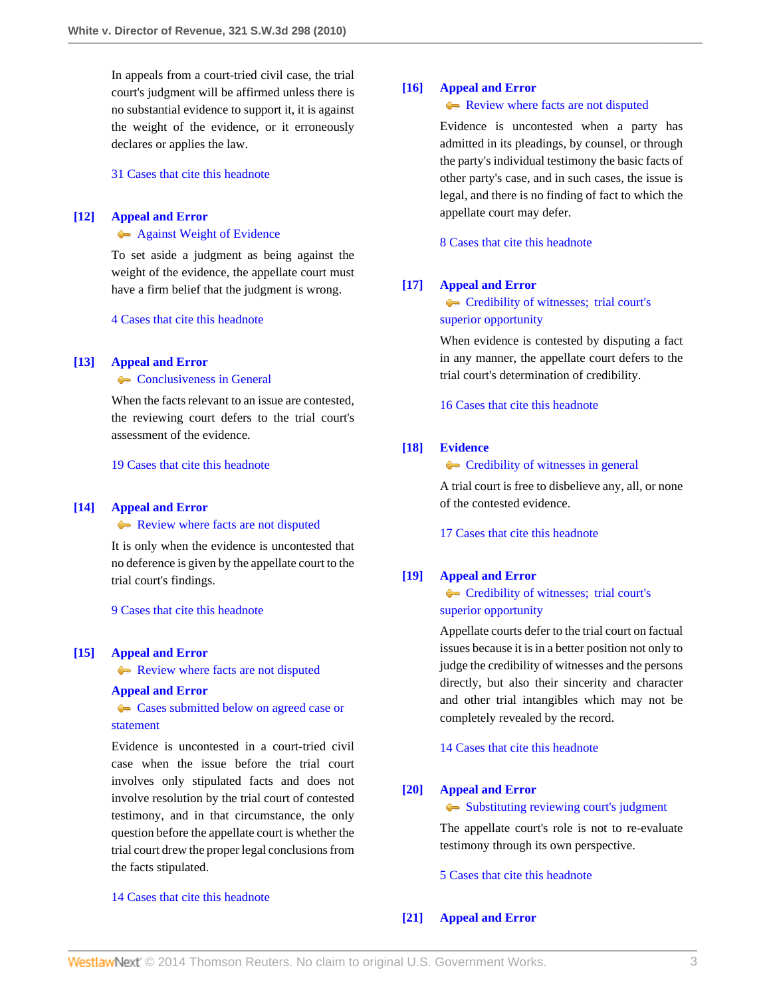In appeals from a court-tried civil case, the trial court's judgment will be affirmed unless there is no substantial evidence to support it, it is against the weight of the evidence, or it erroneously declares or applies the law.

[31 Cases that cite this headnote](http://www.westlaw.com/Link/RelatedInformation/DocHeadnoteLink?docGuid=I7d53ec1eac4f11df8228ac372eb82649&headnoteId=202281110201120101219080504&originationContext=document&vr=3.0&rs=cblt1.0&transitionType=CitingReferences&contextData=(sc.Search))

## <span id="page-2-0"></span>**[\[12\]](#page-8-5) [Appeal and Error](http://www.westlaw.com/Browse/Home/KeyNumber/30/View.html?docGuid=I7d53ec1eac4f11df8228ac372eb82649&originationContext=document&vr=3.0&rs=cblt1.0&transitionType=DocumentItem&contextData=(sc.Search))**

## **[Against Weight of Evidence](http://www.westlaw.com/Browse/Home/KeyNumber/30k1012/View.html?docGuid=I7d53ec1eac4f11df8228ac372eb82649&originationContext=document&vr=3.0&rs=cblt1.0&transitionType=DocumentItem&contextData=(sc.Search))**

To set aside a judgment as being against the weight of the evidence, the appellate court must have a firm belief that the judgment is wrong.

[4 Cases that cite this headnote](http://www.westlaw.com/Link/RelatedInformation/DocHeadnoteLink?docGuid=I7d53ec1eac4f11df8228ac372eb82649&headnoteId=202281110201220101219080504&originationContext=document&vr=3.0&rs=cblt1.0&transitionType=CitingReferences&contextData=(sc.Search))

## <span id="page-2-1"></span>**[\[13\]](#page-8-6) [Appeal and Error](http://www.westlaw.com/Browse/Home/KeyNumber/30/View.html?docGuid=I7d53ec1eac4f11df8228ac372eb82649&originationContext=document&vr=3.0&rs=cblt1.0&transitionType=DocumentItem&contextData=(sc.Search))**

## **[Conclusiveness in General](http://www.westlaw.com/Browse/Home/KeyNumber/30k1008/View.html?docGuid=I7d53ec1eac4f11df8228ac372eb82649&originationContext=document&vr=3.0&rs=cblt1.0&transitionType=DocumentItem&contextData=(sc.Search))**

When the facts relevant to an issue are contested, the reviewing court defers to the trial court's assessment of the evidence.

[19 Cases that cite this headnote](http://www.westlaw.com/Link/RelatedInformation/DocHeadnoteLink?docGuid=I7d53ec1eac4f11df8228ac372eb82649&headnoteId=202281110201320101219080504&originationContext=document&vr=3.0&rs=cblt1.0&transitionType=CitingReferences&contextData=(sc.Search))

## <span id="page-2-2"></span>**[\[14\]](#page-8-7) [Appeal and Error](http://www.westlaw.com/Browse/Home/KeyNumber/30/View.html?docGuid=I7d53ec1eac4f11df8228ac372eb82649&originationContext=document&vr=3.0&rs=cblt1.0&transitionType=DocumentItem&contextData=(sc.Search))**

[Review where facts are not disputed](http://www.westlaw.com/Browse/Home/KeyNumber/30k841/View.html?docGuid=I7d53ec1eac4f11df8228ac372eb82649&originationContext=document&vr=3.0&rs=cblt1.0&transitionType=DocumentItem&contextData=(sc.Search))

It is only when the evidence is uncontested that no deference is given by the appellate court to the trial court's findings.

[9 Cases that cite this headnote](http://www.westlaw.com/Link/RelatedInformation/DocHeadnoteLink?docGuid=I7d53ec1eac4f11df8228ac372eb82649&headnoteId=202281110201420101219080504&originationContext=document&vr=3.0&rs=cblt1.0&transitionType=CitingReferences&contextData=(sc.Search))

## <span id="page-2-3"></span>**[\[15\]](#page-8-8) [Appeal and Error](http://www.westlaw.com/Browse/Home/KeyNumber/30/View.html?docGuid=I7d53ec1eac4f11df8228ac372eb82649&originationContext=document&vr=3.0&rs=cblt1.0&transitionType=DocumentItem&contextData=(sc.Search))**

**[Review where facts are not disputed](http://www.westlaw.com/Browse/Home/KeyNumber/30k841/View.html?docGuid=I7d53ec1eac4f11df8228ac372eb82649&originationContext=document&vr=3.0&rs=cblt1.0&transitionType=DocumentItem&contextData=(sc.Search))** 

### **[Appeal and Error](http://www.westlaw.com/Browse/Home/KeyNumber/30/View.html?docGuid=I7d53ec1eac4f11df8228ac372eb82649&originationContext=document&vr=3.0&rs=cblt1.0&transitionType=DocumentItem&contextData=(sc.Search))**

[Cases submitted below on agreed case or](http://www.westlaw.com/Browse/Home/KeyNumber/30k845(2)/View.html?docGuid=I7d53ec1eac4f11df8228ac372eb82649&originationContext=document&vr=3.0&rs=cblt1.0&transitionType=DocumentItem&contextData=(sc.Search)) [statement](http://www.westlaw.com/Browse/Home/KeyNumber/30k845(2)/View.html?docGuid=I7d53ec1eac4f11df8228ac372eb82649&originationContext=document&vr=3.0&rs=cblt1.0&transitionType=DocumentItem&contextData=(sc.Search))

Evidence is uncontested in a court-tried civil case when the issue before the trial court involves only stipulated facts and does not involve resolution by the trial court of contested testimony, and in that circumstance, the only question before the appellate court is whether the trial court drew the proper legal conclusions from the facts stipulated.

### [14 Cases that cite this headnote](http://www.westlaw.com/Link/RelatedInformation/DocHeadnoteLink?docGuid=I7d53ec1eac4f11df8228ac372eb82649&headnoteId=202281110201520101219080504&originationContext=document&vr=3.0&rs=cblt1.0&transitionType=CitingReferences&contextData=(sc.Search))

## <span id="page-2-4"></span>**[\[16\]](#page-8-9) [Appeal and Error](http://www.westlaw.com/Browse/Home/KeyNumber/30/View.html?docGuid=I7d53ec1eac4f11df8228ac372eb82649&originationContext=document&vr=3.0&rs=cblt1.0&transitionType=DocumentItem&contextData=(sc.Search))**

## [Review where facts are not disputed](http://www.westlaw.com/Browse/Home/KeyNumber/30k841/View.html?docGuid=I7d53ec1eac4f11df8228ac372eb82649&originationContext=document&vr=3.0&rs=cblt1.0&transitionType=DocumentItem&contextData=(sc.Search))

Evidence is uncontested when a party has admitted in its pleadings, by counsel, or through the party's individual testimony the basic facts of other party's case, and in such cases, the issue is legal, and there is no finding of fact to which the appellate court may defer.

[8 Cases that cite this headnote](http://www.westlaw.com/Link/RelatedInformation/DocHeadnoteLink?docGuid=I7d53ec1eac4f11df8228ac372eb82649&headnoteId=202281110201620101219080504&originationContext=document&vr=3.0&rs=cblt1.0&transitionType=CitingReferences&contextData=(sc.Search))

### <span id="page-2-5"></span>**[\[17\]](#page-8-10) [Appeal and Error](http://www.westlaw.com/Browse/Home/KeyNumber/30/View.html?docGuid=I7d53ec1eac4f11df8228ac372eb82649&originationContext=document&vr=3.0&rs=cblt1.0&transitionType=DocumentItem&contextData=(sc.Search))**

[Credibility of witnesses; trial court's](http://www.westlaw.com/Browse/Home/KeyNumber/30k1008.1(4)/View.html?docGuid=I7d53ec1eac4f11df8228ac372eb82649&originationContext=document&vr=3.0&rs=cblt1.0&transitionType=DocumentItem&contextData=(sc.Search)) [superior opportunity](http://www.westlaw.com/Browse/Home/KeyNumber/30k1008.1(4)/View.html?docGuid=I7d53ec1eac4f11df8228ac372eb82649&originationContext=document&vr=3.0&rs=cblt1.0&transitionType=DocumentItem&contextData=(sc.Search))

When evidence is contested by disputing a fact in any manner, the appellate court defers to the trial court's determination of credibility.

[16 Cases that cite this headnote](http://www.westlaw.com/Link/RelatedInformation/DocHeadnoteLink?docGuid=I7d53ec1eac4f11df8228ac372eb82649&headnoteId=202281110201720101219080504&originationContext=document&vr=3.0&rs=cblt1.0&transitionType=CitingReferences&contextData=(sc.Search))

## <span id="page-2-6"></span>**[\[18\]](#page-8-11) [Evidence](http://www.westlaw.com/Browse/Home/KeyNumber/157/View.html?docGuid=I7d53ec1eac4f11df8228ac372eb82649&originationContext=document&vr=3.0&rs=cblt1.0&transitionType=DocumentItem&contextData=(sc.Search))**

## **[Credibility of witnesses in general](http://www.westlaw.com/Browse/Home/KeyNumber/157k588/View.html?docGuid=I7d53ec1eac4f11df8228ac372eb82649&originationContext=document&vr=3.0&rs=cblt1.0&transitionType=DocumentItem&contextData=(sc.Search))**

A trial court is free to disbelieve any, all, or none of the contested evidence.

[17 Cases that cite this headnote](http://www.westlaw.com/Link/RelatedInformation/DocHeadnoteLink?docGuid=I7d53ec1eac4f11df8228ac372eb82649&headnoteId=202281110201820101219080504&originationContext=document&vr=3.0&rs=cblt1.0&transitionType=CitingReferences&contextData=(sc.Search))

### <span id="page-2-7"></span>**[\[19\]](#page-8-12) [Appeal and Error](http://www.westlaw.com/Browse/Home/KeyNumber/30/View.html?docGuid=I7d53ec1eac4f11df8228ac372eb82649&originationContext=document&vr=3.0&rs=cblt1.0&transitionType=DocumentItem&contextData=(sc.Search))**

# **[Credibility of witnesses; trial court's](http://www.westlaw.com/Browse/Home/KeyNumber/30k1008.1(4)/View.html?docGuid=I7d53ec1eac4f11df8228ac372eb82649&originationContext=document&vr=3.0&rs=cblt1.0&transitionType=DocumentItem&contextData=(sc.Search))** [superior opportunity](http://www.westlaw.com/Browse/Home/KeyNumber/30k1008.1(4)/View.html?docGuid=I7d53ec1eac4f11df8228ac372eb82649&originationContext=document&vr=3.0&rs=cblt1.0&transitionType=DocumentItem&contextData=(sc.Search))

Appellate courts defer to the trial court on factual issues because it is in a better position not only to judge the credibility of witnesses and the persons directly, but also their sincerity and character and other trial intangibles which may not be completely revealed by the record.

[14 Cases that cite this headnote](http://www.westlaw.com/Link/RelatedInformation/DocHeadnoteLink?docGuid=I7d53ec1eac4f11df8228ac372eb82649&headnoteId=202281110201920101219080504&originationContext=document&vr=3.0&rs=cblt1.0&transitionType=CitingReferences&contextData=(sc.Search))

## <span id="page-2-8"></span>**[\[20\]](#page-8-13) [Appeal and Error](http://www.westlaw.com/Browse/Home/KeyNumber/30/View.html?docGuid=I7d53ec1eac4f11df8228ac372eb82649&originationContext=document&vr=3.0&rs=cblt1.0&transitionType=DocumentItem&contextData=(sc.Search))**

[Substituting reviewing court's judgment](http://www.westlaw.com/Browse/Home/KeyNumber/30k1008.1(3)/View.html?docGuid=I7d53ec1eac4f11df8228ac372eb82649&originationContext=document&vr=3.0&rs=cblt1.0&transitionType=DocumentItem&contextData=(sc.Search))

The appellate court's role is not to re-evaluate testimony through its own perspective.

[5 Cases that cite this headnote](http://www.westlaw.com/Link/RelatedInformation/DocHeadnoteLink?docGuid=I7d53ec1eac4f11df8228ac372eb82649&headnoteId=202281110202020101219080504&originationContext=document&vr=3.0&rs=cblt1.0&transitionType=CitingReferences&contextData=(sc.Search))

## <span id="page-2-9"></span>**[\[21\]](#page-8-14) [Appeal and Error](http://www.westlaw.com/Browse/Home/KeyNumber/30/View.html?docGuid=I7d53ec1eac4f11df8228ac372eb82649&originationContext=document&vr=3.0&rs=cblt1.0&transitionType=DocumentItem&contextData=(sc.Search))**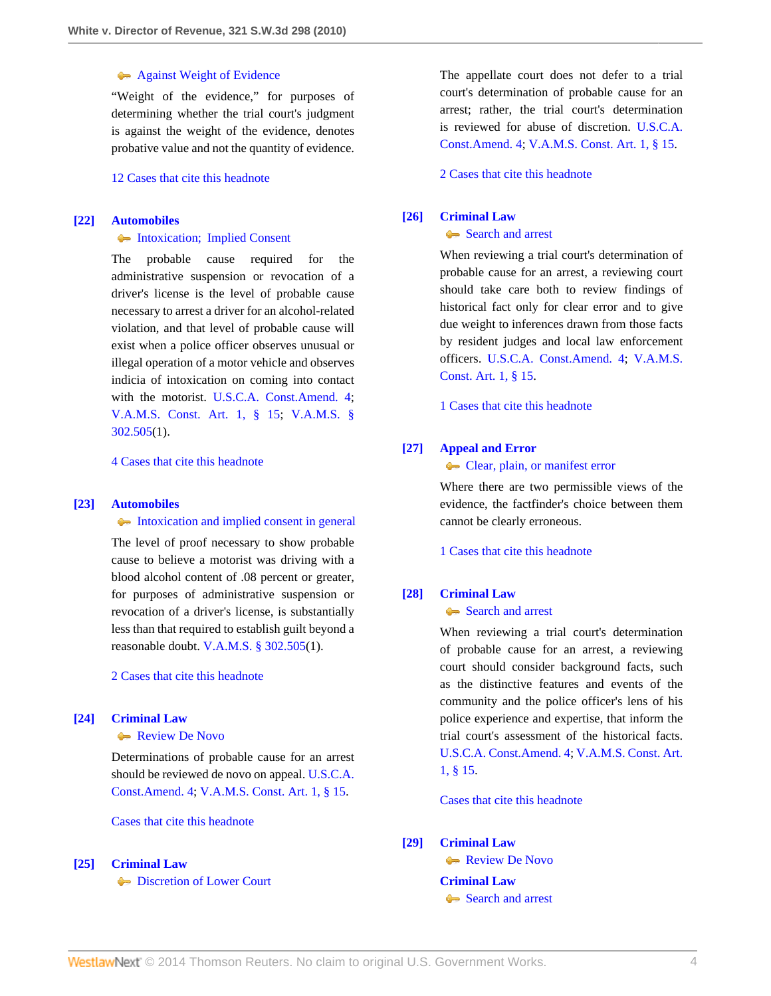## **[Against Weight of Evidence](http://www.westlaw.com/Browse/Home/KeyNumber/30k1012/View.html?docGuid=I7d53ec1eac4f11df8228ac372eb82649&originationContext=document&vr=3.0&rs=cblt1.0&transitionType=DocumentItem&contextData=(sc.Search))**

"Weight of the evidence," for purposes of determining whether the trial court's judgment is against the weight of the evidence, denotes probative value and not the quantity of evidence.

[12 Cases that cite this headnote](http://www.westlaw.com/Link/RelatedInformation/DocHeadnoteLink?docGuid=I7d53ec1eac4f11df8228ac372eb82649&headnoteId=202281110202120101219080504&originationContext=document&vr=3.0&rs=cblt1.0&transitionType=CitingReferences&contextData=(sc.Search))

## <span id="page-3-0"></span>**[\[22\]](#page-9-0) [Automobiles](http://www.westlaw.com/Browse/Home/KeyNumber/48A/View.html?docGuid=I7d53ec1eac4f11df8228ac372eb82649&originationContext=document&vr=3.0&rs=cblt1.0&transitionType=DocumentItem&contextData=(sc.Search))**

### • [Intoxication; Implied Consent](http://www.westlaw.com/Browse/Home/KeyNumber/48Ak144.1(1.10)/View.html?docGuid=I7d53ec1eac4f11df8228ac372eb82649&originationContext=document&vr=3.0&rs=cblt1.0&transitionType=DocumentItem&contextData=(sc.Search))

The probable cause required for the administrative suspension or revocation of a driver's license is the level of probable cause necessary to arrest a driver for an alcohol-related violation, and that level of probable cause will exist when a police officer observes unusual or illegal operation of a motor vehicle and observes indicia of intoxication on coming into contact with the motorist. [U.S.C.A. Const.Amend. 4;](http://www.westlaw.com/Link/Document/FullText?findType=L&pubNum=1000546&cite=USCOAMENDIV&originatingDoc=I7d53ec1eac4f11df8228ac372eb82649&refType=LQ&originationContext=document&vr=3.0&rs=cblt1.0&transitionType=DocumentItem&contextData=(sc.Search)) [V.A.M.S. Const. Art. 1, § 15](http://www.westlaw.com/Link/Document/FullText?findType=L&pubNum=1000229&cite=MOCNART1S15&originatingDoc=I7d53ec1eac4f11df8228ac372eb82649&refType=LQ&originationContext=document&vr=3.0&rs=cblt1.0&transitionType=DocumentItem&contextData=(sc.Search)); [V.A.M.S. §](http://www.westlaw.com/Link/Document/FullText?findType=L&pubNum=1000229&cite=MOST302.505&originatingDoc=I7d53ec1eac4f11df8228ac372eb82649&refType=LQ&originationContext=document&vr=3.0&rs=cblt1.0&transitionType=DocumentItem&contextData=(sc.Search)) [302.505](http://www.westlaw.com/Link/Document/FullText?findType=L&pubNum=1000229&cite=MOST302.505&originatingDoc=I7d53ec1eac4f11df8228ac372eb82649&refType=LQ&originationContext=document&vr=3.0&rs=cblt1.0&transitionType=DocumentItem&contextData=(sc.Search))(1).

[4 Cases that cite this headnote](http://www.westlaw.com/Link/RelatedInformation/DocHeadnoteLink?docGuid=I7d53ec1eac4f11df8228ac372eb82649&headnoteId=202281110202220101219080504&originationContext=document&vr=3.0&rs=cblt1.0&transitionType=CitingReferences&contextData=(sc.Search))

#### <span id="page-3-1"></span>**[\[23\]](#page-9-1) [Automobiles](http://www.westlaw.com/Browse/Home/KeyNumber/48A/View.html?docGuid=I7d53ec1eac4f11df8228ac372eb82649&originationContext=document&vr=3.0&rs=cblt1.0&transitionType=DocumentItem&contextData=(sc.Search))**

[Intoxication and implied consent in general](http://www.westlaw.com/Browse/Home/KeyNumber/48Ak144.2(10.2)/View.html?docGuid=I7d53ec1eac4f11df8228ac372eb82649&originationContext=document&vr=3.0&rs=cblt1.0&transitionType=DocumentItem&contextData=(sc.Search))

The level of proof necessary to show probable cause to believe a motorist was driving with a blood alcohol content of .08 percent or greater, for purposes of administrative suspension or revocation of a driver's license, is substantially less than that required to establish guilt beyond a reasonable doubt. [V.A.M.S. § 302.505\(](http://www.westlaw.com/Link/Document/FullText?findType=L&pubNum=1000229&cite=MOST302.505&originatingDoc=I7d53ec1eac4f11df8228ac372eb82649&refType=LQ&originationContext=document&vr=3.0&rs=cblt1.0&transitionType=DocumentItem&contextData=(sc.Search))1).

[2 Cases that cite this headnote](http://www.westlaw.com/Link/RelatedInformation/DocHeadnoteLink?docGuid=I7d53ec1eac4f11df8228ac372eb82649&headnoteId=202281110202320101219080504&originationContext=document&vr=3.0&rs=cblt1.0&transitionType=CitingReferences&contextData=(sc.Search))

## <span id="page-3-2"></span>**[\[24\]](#page-9-2) [Criminal Law](http://www.westlaw.com/Browse/Home/KeyNumber/110/View.html?docGuid=I7d53ec1eac4f11df8228ac372eb82649&originationContext=document&vr=3.0&rs=cblt1.0&transitionType=DocumentItem&contextData=(sc.Search))**

#### [Review De Novo](http://www.westlaw.com/Browse/Home/KeyNumber/110XXIV(L)13/View.html?docGuid=I7d53ec1eac4f11df8228ac372eb82649&originationContext=document&vr=3.0&rs=cblt1.0&transitionType=DocumentItem&contextData=(sc.Search))

Determinations of probable cause for an arrest should be reviewed de novo on appeal. [U.S.C.A.](http://www.westlaw.com/Link/Document/FullText?findType=L&pubNum=1000546&cite=USCOAMENDIV&originatingDoc=I7d53ec1eac4f11df8228ac372eb82649&refType=LQ&originationContext=document&vr=3.0&rs=cblt1.0&transitionType=DocumentItem&contextData=(sc.Search)) [Const.Amend. 4;](http://www.westlaw.com/Link/Document/FullText?findType=L&pubNum=1000546&cite=USCOAMENDIV&originatingDoc=I7d53ec1eac4f11df8228ac372eb82649&refType=LQ&originationContext=document&vr=3.0&rs=cblt1.0&transitionType=DocumentItem&contextData=(sc.Search)) [V.A.M.S. Const. Art. 1, § 15.](http://www.westlaw.com/Link/Document/FullText?findType=L&pubNum=1000229&cite=MOCNART1S15&originatingDoc=I7d53ec1eac4f11df8228ac372eb82649&refType=LQ&originationContext=document&vr=3.0&rs=cblt1.0&transitionType=DocumentItem&contextData=(sc.Search))

[Cases that cite this headnote](http://www.westlaw.com/Link/RelatedInformation/DocHeadnoteLink?docGuid=I7d53ec1eac4f11df8228ac372eb82649&headnoteId=202281110202420101219080504&originationContext=document&vr=3.0&rs=cblt1.0&transitionType=CitingReferences&contextData=(sc.Search))

<span id="page-3-3"></span>**[\[25\]](#page-9-3) [Criminal Law](http://www.westlaw.com/Browse/Home/KeyNumber/110/View.html?docGuid=I7d53ec1eac4f11df8228ac372eb82649&originationContext=document&vr=3.0&rs=cblt1.0&transitionType=DocumentItem&contextData=(sc.Search))**

**[Discretion of Lower Court](http://www.westlaw.com/Browse/Home/KeyNumber/110XXIV(N)/View.html?docGuid=I7d53ec1eac4f11df8228ac372eb82649&originationContext=document&vr=3.0&rs=cblt1.0&transitionType=DocumentItem&contextData=(sc.Search))** 

The appellate court does not defer to a trial court's determination of probable cause for an arrest; rather, the trial court's determination is reviewed for abuse of discretion. [U.S.C.A.](http://www.westlaw.com/Link/Document/FullText?findType=L&pubNum=1000546&cite=USCOAMENDIV&originatingDoc=I7d53ec1eac4f11df8228ac372eb82649&refType=LQ&originationContext=document&vr=3.0&rs=cblt1.0&transitionType=DocumentItem&contextData=(sc.Search)) [Const.Amend. 4;](http://www.westlaw.com/Link/Document/FullText?findType=L&pubNum=1000546&cite=USCOAMENDIV&originatingDoc=I7d53ec1eac4f11df8228ac372eb82649&refType=LQ&originationContext=document&vr=3.0&rs=cblt1.0&transitionType=DocumentItem&contextData=(sc.Search)) [V.A.M.S. Const. Art. 1, § 15.](http://www.westlaw.com/Link/Document/FullText?findType=L&pubNum=1000229&cite=MOCNART1S15&originatingDoc=I7d53ec1eac4f11df8228ac372eb82649&refType=LQ&originationContext=document&vr=3.0&rs=cblt1.0&transitionType=DocumentItem&contextData=(sc.Search))

[2 Cases that cite this headnote](http://www.westlaw.com/Link/RelatedInformation/DocHeadnoteLink?docGuid=I7d53ec1eac4f11df8228ac372eb82649&headnoteId=202281110202520101219080504&originationContext=document&vr=3.0&rs=cblt1.0&transitionType=CitingReferences&contextData=(sc.Search))

## <span id="page-3-4"></span>**[\[26\]](#page-9-4) [Criminal Law](http://www.westlaw.com/Browse/Home/KeyNumber/110/View.html?docGuid=I7d53ec1eac4f11df8228ac372eb82649&originationContext=document&vr=3.0&rs=cblt1.0&transitionType=DocumentItem&contextData=(sc.Search))**

## [Search and arrest](http://www.westlaw.com/Browse/Home/KeyNumber/110k1158.2/View.html?docGuid=I7d53ec1eac4f11df8228ac372eb82649&originationContext=document&vr=3.0&rs=cblt1.0&transitionType=DocumentItem&contextData=(sc.Search))

When reviewing a trial court's determination of probable cause for an arrest, a reviewing court should take care both to review findings of historical fact only for clear error and to give due weight to inferences drawn from those facts by resident judges and local law enforcement officers. [U.S.C.A. Const.Amend. 4](http://www.westlaw.com/Link/Document/FullText?findType=L&pubNum=1000546&cite=USCOAMENDIV&originatingDoc=I7d53ec1eac4f11df8228ac372eb82649&refType=LQ&originationContext=document&vr=3.0&rs=cblt1.0&transitionType=DocumentItem&contextData=(sc.Search)); [V.A.M.S.](http://www.westlaw.com/Link/Document/FullText?findType=L&pubNum=1000229&cite=MOCNART1S15&originatingDoc=I7d53ec1eac4f11df8228ac372eb82649&refType=LQ&originationContext=document&vr=3.0&rs=cblt1.0&transitionType=DocumentItem&contextData=(sc.Search)) [Const. Art. 1, § 15.](http://www.westlaw.com/Link/Document/FullText?findType=L&pubNum=1000229&cite=MOCNART1S15&originatingDoc=I7d53ec1eac4f11df8228ac372eb82649&refType=LQ&originationContext=document&vr=3.0&rs=cblt1.0&transitionType=DocumentItem&contextData=(sc.Search))

[1 Cases that cite this headnote](http://www.westlaw.com/Link/RelatedInformation/DocHeadnoteLink?docGuid=I7d53ec1eac4f11df8228ac372eb82649&headnoteId=202281110202620101219080504&originationContext=document&vr=3.0&rs=cblt1.0&transitionType=CitingReferences&contextData=(sc.Search))

## <span id="page-3-5"></span>**[\[27\]](#page-9-5) [Appeal and Error](http://www.westlaw.com/Browse/Home/KeyNumber/30/View.html?docGuid=I7d53ec1eac4f11df8228ac372eb82649&originationContext=document&vr=3.0&rs=cblt1.0&transitionType=DocumentItem&contextData=(sc.Search))**

### [Clear, plain, or manifest error](http://www.westlaw.com/Browse/Home/KeyNumber/30k1011.1(7)/View.html?docGuid=I7d53ec1eac4f11df8228ac372eb82649&originationContext=document&vr=3.0&rs=cblt1.0&transitionType=DocumentItem&contextData=(sc.Search))

Where there are two permissible views of the evidence, the factfinder's choice between them cannot be clearly erroneous.

[1 Cases that cite this headnote](http://www.westlaw.com/Link/RelatedInformation/DocHeadnoteLink?docGuid=I7d53ec1eac4f11df8228ac372eb82649&headnoteId=202281110202720101219080504&originationContext=document&vr=3.0&rs=cblt1.0&transitionType=CitingReferences&contextData=(sc.Search))

## <span id="page-3-6"></span>**[\[28\]](#page-9-6) [Criminal Law](http://www.westlaw.com/Browse/Home/KeyNumber/110/View.html?docGuid=I7d53ec1eac4f11df8228ac372eb82649&originationContext=document&vr=3.0&rs=cblt1.0&transitionType=DocumentItem&contextData=(sc.Search))**

## [Search and arrest](http://www.westlaw.com/Browse/Home/KeyNumber/110k1158.2/View.html?docGuid=I7d53ec1eac4f11df8228ac372eb82649&originationContext=document&vr=3.0&rs=cblt1.0&transitionType=DocumentItem&contextData=(sc.Search))

When reviewing a trial court's determination of probable cause for an arrest, a reviewing court should consider background facts, such as the distinctive features and events of the community and the police officer's lens of his police experience and expertise, that inform the trial court's assessment of the historical facts. [U.S.C.A. Const.Amend. 4](http://www.westlaw.com/Link/Document/FullText?findType=L&pubNum=1000546&cite=USCOAMENDIV&originatingDoc=I7d53ec1eac4f11df8228ac372eb82649&refType=LQ&originationContext=document&vr=3.0&rs=cblt1.0&transitionType=DocumentItem&contextData=(sc.Search)); [V.A.M.S. Const. Art.](http://www.westlaw.com/Link/Document/FullText?findType=L&pubNum=1000229&cite=MOCNART1S15&originatingDoc=I7d53ec1eac4f11df8228ac372eb82649&refType=LQ&originationContext=document&vr=3.0&rs=cblt1.0&transitionType=DocumentItem&contextData=(sc.Search)) [1, § 15](http://www.westlaw.com/Link/Document/FullText?findType=L&pubNum=1000229&cite=MOCNART1S15&originatingDoc=I7d53ec1eac4f11df8228ac372eb82649&refType=LQ&originationContext=document&vr=3.0&rs=cblt1.0&transitionType=DocumentItem&contextData=(sc.Search)).

[Cases that cite this headnote](http://www.westlaw.com/Link/RelatedInformation/DocHeadnoteLink?docGuid=I7d53ec1eac4f11df8228ac372eb82649&headnoteId=202281110202820101219080504&originationContext=document&vr=3.0&rs=cblt1.0&transitionType=CitingReferences&contextData=(sc.Search))

#### <span id="page-3-7"></span>**[\[29\]](#page-10-0) [Criminal Law](http://www.westlaw.com/Browse/Home/KeyNumber/110/View.html?docGuid=I7d53ec1eac4f11df8228ac372eb82649&originationContext=document&vr=3.0&rs=cblt1.0&transitionType=DocumentItem&contextData=(sc.Search))**

[Review De Novo](http://www.westlaw.com/Browse/Home/KeyNumber/110XXIV(L)13/View.html?docGuid=I7d53ec1eac4f11df8228ac372eb82649&originationContext=document&vr=3.0&rs=cblt1.0&transitionType=DocumentItem&contextData=(sc.Search)) **[Criminal Law](http://www.westlaw.com/Browse/Home/KeyNumber/110/View.html?docGuid=I7d53ec1eac4f11df8228ac372eb82649&originationContext=document&vr=3.0&rs=cblt1.0&transitionType=DocumentItem&contextData=(sc.Search))**

[Search and arrest](http://www.westlaw.com/Browse/Home/KeyNumber/110k1158.2/View.html?docGuid=I7d53ec1eac4f11df8228ac372eb82649&originationContext=document&vr=3.0&rs=cblt1.0&transitionType=DocumentItem&contextData=(sc.Search))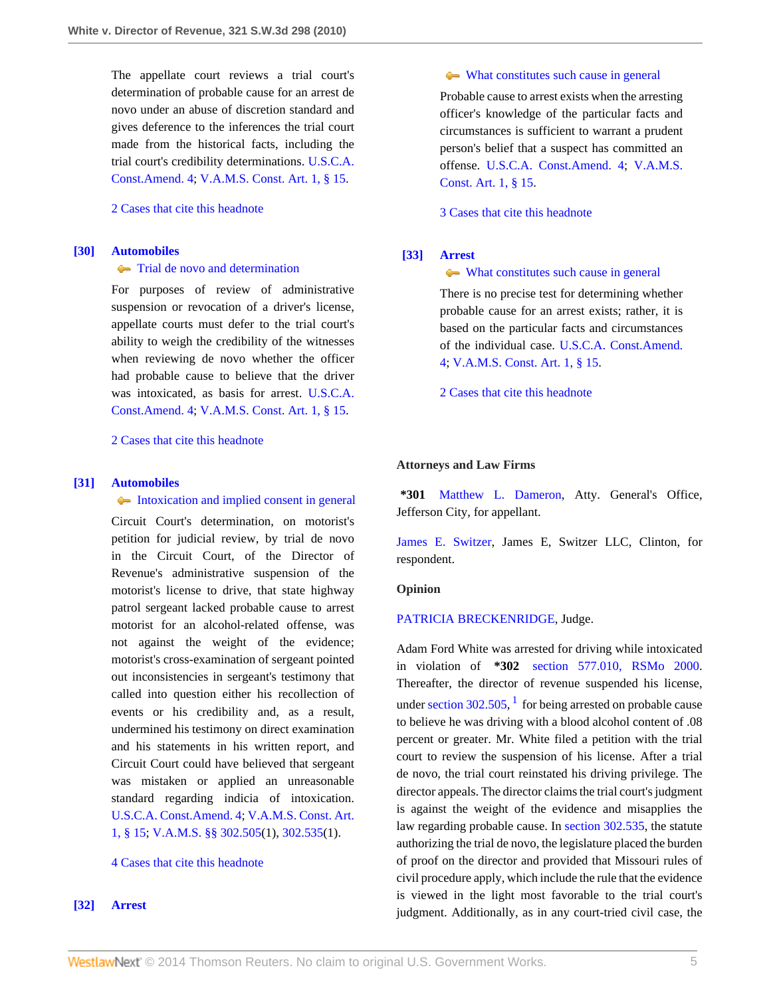The appellate court reviews a trial court's determination of probable cause for an arrest de novo under an abuse of discretion standard and gives deference to the inferences the trial court made from the historical facts, including the trial court's credibility determinations. [U.S.C.A.](http://www.westlaw.com/Link/Document/FullText?findType=L&pubNum=1000546&cite=USCOAMENDIV&originatingDoc=I7d53ec1eac4f11df8228ac372eb82649&refType=LQ&originationContext=document&vr=3.0&rs=cblt1.0&transitionType=DocumentItem&contextData=(sc.Search)) [Const.Amend. 4;](http://www.westlaw.com/Link/Document/FullText?findType=L&pubNum=1000546&cite=USCOAMENDIV&originatingDoc=I7d53ec1eac4f11df8228ac372eb82649&refType=LQ&originationContext=document&vr=3.0&rs=cblt1.0&transitionType=DocumentItem&contextData=(sc.Search)) [V.A.M.S. Const. Art. 1, § 15.](http://www.westlaw.com/Link/Document/FullText?findType=L&pubNum=1000229&cite=MOCNART1S15&originatingDoc=I7d53ec1eac4f11df8228ac372eb82649&refType=LQ&originationContext=document&vr=3.0&rs=cblt1.0&transitionType=DocumentItem&contextData=(sc.Search))

## [2 Cases that cite this headnote](http://www.westlaw.com/Link/RelatedInformation/DocHeadnoteLink?docGuid=I7d53ec1eac4f11df8228ac372eb82649&headnoteId=202281110202920101219080504&originationContext=document&vr=3.0&rs=cblt1.0&transitionType=CitingReferences&contextData=(sc.Search))

#### <span id="page-4-1"></span>**[\[30\]](#page-10-1) [Automobiles](http://www.westlaw.com/Browse/Home/KeyNumber/48A/View.html?docGuid=I7d53ec1eac4f11df8228ac372eb82649&originationContext=document&vr=3.0&rs=cblt1.0&transitionType=DocumentItem&contextData=(sc.Search))**

#### **[Trial de novo and determination](http://www.westlaw.com/Browse/Home/KeyNumber/48Ak144.2(4)/View.html?docGuid=I7d53ec1eac4f11df8228ac372eb82649&originationContext=document&vr=3.0&rs=cblt1.0&transitionType=DocumentItem&contextData=(sc.Search))**

For purposes of review of administrative suspension or revocation of a driver's license, appellate courts must defer to the trial court's ability to weigh the credibility of the witnesses when reviewing de novo whether the officer had probable cause to believe that the driver was intoxicated, as basis for arrest. [U.S.C.A.](http://www.westlaw.com/Link/Document/FullText?findType=L&pubNum=1000546&cite=USCOAMENDIV&originatingDoc=I7d53ec1eac4f11df8228ac372eb82649&refType=LQ&originationContext=document&vr=3.0&rs=cblt1.0&transitionType=DocumentItem&contextData=(sc.Search)) [Const.Amend. 4;](http://www.westlaw.com/Link/Document/FullText?findType=L&pubNum=1000546&cite=USCOAMENDIV&originatingDoc=I7d53ec1eac4f11df8228ac372eb82649&refType=LQ&originationContext=document&vr=3.0&rs=cblt1.0&transitionType=DocumentItem&contextData=(sc.Search)) [V.A.M.S. Const. Art. 1, § 15.](http://www.westlaw.com/Link/Document/FullText?findType=L&pubNum=1000229&cite=MOCNART1S15&originatingDoc=I7d53ec1eac4f11df8228ac372eb82649&refType=LQ&originationContext=document&vr=3.0&rs=cblt1.0&transitionType=DocumentItem&contextData=(sc.Search))

[2 Cases that cite this headnote](http://www.westlaw.com/Link/RelatedInformation/DocHeadnoteLink?docGuid=I7d53ec1eac4f11df8228ac372eb82649&headnoteId=202281110203020101219080504&originationContext=document&vr=3.0&rs=cblt1.0&transitionType=CitingReferences&contextData=(sc.Search))

#### <span id="page-4-0"></span>**[\[31\]](#page-10-2) [Automobiles](http://www.westlaw.com/Browse/Home/KeyNumber/48A/View.html?docGuid=I7d53ec1eac4f11df8228ac372eb82649&originationContext=document&vr=3.0&rs=cblt1.0&transitionType=DocumentItem&contextData=(sc.Search))**

[Intoxication and implied consent in general](http://www.westlaw.com/Browse/Home/KeyNumber/48Ak144.2(10.2)/View.html?docGuid=I7d53ec1eac4f11df8228ac372eb82649&originationContext=document&vr=3.0&rs=cblt1.0&transitionType=DocumentItem&contextData=(sc.Search))

Circuit Court's determination, on motorist's petition for judicial review, by trial de novo in the Circuit Court, of the Director of Revenue's administrative suspension of the motorist's license to drive, that state highway patrol sergeant lacked probable cause to arrest motorist for an alcohol-related offense, was not against the weight of the evidence; motorist's cross-examination of sergeant pointed out inconsistencies in sergeant's testimony that called into question either his recollection of events or his credibility and, as a result, undermined his testimony on direct examination and his statements in his written report, and Circuit Court could have believed that sergeant was mistaken or applied an unreasonable standard regarding indicia of intoxication. [U.S.C.A. Const.Amend. 4](http://www.westlaw.com/Link/Document/FullText?findType=L&pubNum=1000546&cite=USCOAMENDIV&originatingDoc=I7d53ec1eac4f11df8228ac372eb82649&refType=LQ&originationContext=document&vr=3.0&rs=cblt1.0&transitionType=DocumentItem&contextData=(sc.Search)); [V.A.M.S. Const. Art.](http://www.westlaw.com/Link/Document/FullText?findType=L&pubNum=1000229&cite=MOCNART1S15&originatingDoc=I7d53ec1eac4f11df8228ac372eb82649&refType=LQ&originationContext=document&vr=3.0&rs=cblt1.0&transitionType=DocumentItem&contextData=(sc.Search)) [1, § 15](http://www.westlaw.com/Link/Document/FullText?findType=L&pubNum=1000229&cite=MOCNART1S15&originatingDoc=I7d53ec1eac4f11df8228ac372eb82649&refType=LQ&originationContext=document&vr=3.0&rs=cblt1.0&transitionType=DocumentItem&contextData=(sc.Search)); [V.A.M.S. §§ 302.505\(](http://www.westlaw.com/Link/Document/FullText?findType=L&pubNum=1000229&cite=MOST302.505&originatingDoc=I7d53ec1eac4f11df8228ac372eb82649&refType=LQ&originationContext=document&vr=3.0&rs=cblt1.0&transitionType=DocumentItem&contextData=(sc.Search))1), [302.535\(](http://www.westlaw.com/Link/Document/FullText?findType=L&pubNum=1000229&cite=MOST302.535&originatingDoc=I7d53ec1eac4f11df8228ac372eb82649&refType=LQ&originationContext=document&vr=3.0&rs=cblt1.0&transitionType=DocumentItem&contextData=(sc.Search))1).

[4 Cases that cite this headnote](http://www.westlaw.com/Link/RelatedInformation/DocHeadnoteLink?docGuid=I7d53ec1eac4f11df8228ac372eb82649&headnoteId=202281110203120101219080504&originationContext=document&vr=3.0&rs=cblt1.0&transitionType=CitingReferences&contextData=(sc.Search))

## <span id="page-4-2"></span>**[\[32\]](#page-11-0) [Arrest](http://www.westlaw.com/Browse/Home/KeyNumber/35/View.html?docGuid=I7d53ec1eac4f11df8228ac372eb82649&originationContext=document&vr=3.0&rs=cblt1.0&transitionType=DocumentItem&contextData=(sc.Search))**

#### [What constitutes such cause in general](http://www.westlaw.com/Browse/Home/KeyNumber/35k63.4(2)/View.html?docGuid=I7d53ec1eac4f11df8228ac372eb82649&originationContext=document&vr=3.0&rs=cblt1.0&transitionType=DocumentItem&contextData=(sc.Search))

Probable cause to arrest exists when the arresting officer's knowledge of the particular facts and circumstances is sufficient to warrant a prudent person's belief that a suspect has committed an offense. [U.S.C.A. Const.Amend. 4;](http://www.westlaw.com/Link/Document/FullText?findType=L&pubNum=1000546&cite=USCOAMENDIV&originatingDoc=I7d53ec1eac4f11df8228ac372eb82649&refType=LQ&originationContext=document&vr=3.0&rs=cblt1.0&transitionType=DocumentItem&contextData=(sc.Search)) [V.A.M.S.](http://www.westlaw.com/Link/Document/FullText?findType=L&pubNum=1000229&cite=MOCNART1S15&originatingDoc=I7d53ec1eac4f11df8228ac372eb82649&refType=LQ&originationContext=document&vr=3.0&rs=cblt1.0&transitionType=DocumentItem&contextData=(sc.Search)) [Const. Art. 1, § 15.](http://www.westlaw.com/Link/Document/FullText?findType=L&pubNum=1000229&cite=MOCNART1S15&originatingDoc=I7d53ec1eac4f11df8228ac372eb82649&refType=LQ&originationContext=document&vr=3.0&rs=cblt1.0&transitionType=DocumentItem&contextData=(sc.Search))

[3 Cases that cite this headnote](http://www.westlaw.com/Link/RelatedInformation/DocHeadnoteLink?docGuid=I7d53ec1eac4f11df8228ac372eb82649&headnoteId=202281110203220101219080504&originationContext=document&vr=3.0&rs=cblt1.0&transitionType=CitingReferences&contextData=(sc.Search))

## <span id="page-4-3"></span>**[\[33\]](#page-11-1) [Arrest](http://www.westlaw.com/Browse/Home/KeyNumber/35/View.html?docGuid=I7d53ec1eac4f11df8228ac372eb82649&originationContext=document&vr=3.0&rs=cblt1.0&transitionType=DocumentItem&contextData=(sc.Search))**

[What constitutes such cause in general](http://www.westlaw.com/Browse/Home/KeyNumber/35k63.4(2)/View.html?docGuid=I7d53ec1eac4f11df8228ac372eb82649&originationContext=document&vr=3.0&rs=cblt1.0&transitionType=DocumentItem&contextData=(sc.Search))

There is no precise test for determining whether probable cause for an arrest exists; rather, it is based on the particular facts and circumstances of the individual case. [U.S.C.A. Const.Amend.](http://www.westlaw.com/Link/Document/FullText?findType=L&pubNum=1000546&cite=USCOAMENDIV&originatingDoc=I7d53ec1eac4f11df8228ac372eb82649&refType=LQ&originationContext=document&vr=3.0&rs=cblt1.0&transitionType=DocumentItem&contextData=(sc.Search)) [4](http://www.westlaw.com/Link/Document/FullText?findType=L&pubNum=1000546&cite=USCOAMENDIV&originatingDoc=I7d53ec1eac4f11df8228ac372eb82649&refType=LQ&originationContext=document&vr=3.0&rs=cblt1.0&transitionType=DocumentItem&contextData=(sc.Search)); [V.A.M.S. Const. Art. 1, § 15](http://www.westlaw.com/Link/Document/FullText?findType=L&pubNum=1000229&cite=MOCNART1S15&originatingDoc=I7d53ec1eac4f11df8228ac372eb82649&refType=LQ&originationContext=document&vr=3.0&rs=cblt1.0&transitionType=DocumentItem&contextData=(sc.Search)).

[2 Cases that cite this headnote](http://www.westlaw.com/Link/RelatedInformation/DocHeadnoteLink?docGuid=I7d53ec1eac4f11df8228ac372eb82649&headnoteId=202281110203320101219080504&originationContext=document&vr=3.0&rs=cblt1.0&transitionType=CitingReferences&contextData=(sc.Search))

#### **Attorneys and Law Firms**

**\*301** [Matthew L. Dameron](http://www.westlaw.com/Link/Document/FullText?findType=h&pubNum=176284&cite=0325486301&originatingDoc=I7d53ec1eac4f11df8228ac372eb82649&refType=RQ&originationContext=document&vr=3.0&rs=cblt1.0&transitionType=DocumentItem&contextData=(sc.Search)), Atty. General's Office, Jefferson City, for appellant.

[James E. Switzer,](http://www.westlaw.com/Link/Document/FullText?findType=h&pubNum=176284&cite=0156962901&originatingDoc=I7d53ec1eac4f11df8228ac372eb82649&refType=RQ&originationContext=document&vr=3.0&rs=cblt1.0&transitionType=DocumentItem&contextData=(sc.Search)) James E, Switzer LLC, Clinton, for respondent.

## **Opinion**

#### [PATRICIA BRECKENRIDGE,](http://www.westlaw.com/Link/Document/FullText?findType=h&pubNum=176284&cite=0222756001&originatingDoc=I7d53ec1eac4f11df8228ac372eb82649&refType=RQ&originationContext=document&vr=3.0&rs=cblt1.0&transitionType=DocumentItem&contextData=(sc.Search)) Judge.

<span id="page-4-4"></span>Adam Ford White was arrested for driving while intoxicated in violation of **\*302** [section 577.010, RSMo 2000](http://www.westlaw.com/Link/Document/FullText?findType=L&pubNum=1000229&cite=MOST577.010&originatingDoc=I7d53ec1eac4f11df8228ac372eb82649&refType=LQ&originationContext=document&vr=3.0&rs=cblt1.0&transitionType=DocumentItem&contextData=(sc.Search)). Thereafter, the director of revenue suspended his license, under section  $302.505$ , <sup>[1](#page-11-2)</sup> for being arrested on probable cause to believe he was driving with a blood alcohol content of .08 percent or greater. Mr. White filed a petition with the trial court to review the suspension of his license. After a trial de novo, the trial court reinstated his driving privilege. The director appeals. The director claims the trial court's judgment is against the weight of the evidence and misapplies the law regarding probable cause. In [section 302.535](http://www.westlaw.com/Link/Document/FullText?findType=L&pubNum=1000229&cite=MOST302.535&originatingDoc=I7d53ec1eac4f11df8228ac372eb82649&refType=LQ&originationContext=document&vr=3.0&rs=cblt1.0&transitionType=DocumentItem&contextData=(sc.Search)), the statute authorizing the trial de novo, the legislature placed the burden of proof on the director and provided that Missouri rules of civil procedure apply, which include the rule that the evidence is viewed in the light most favorable to the trial court's judgment. Additionally, as in any court-tried civil case, the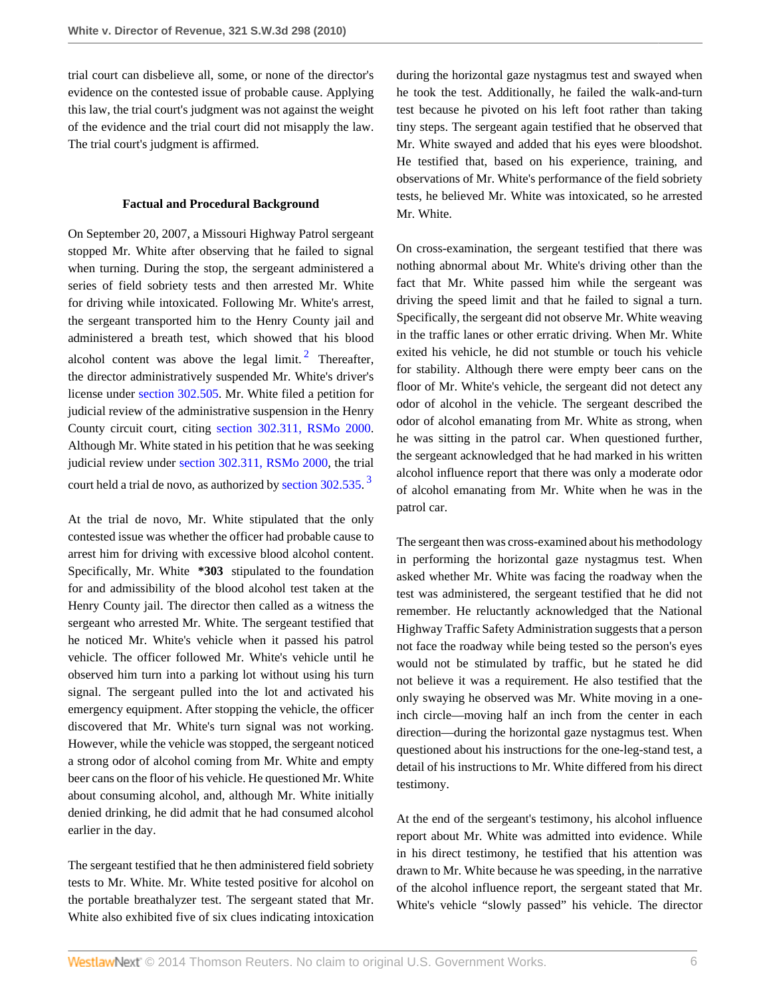trial court can disbelieve all, some, or none of the director's evidence on the contested issue of probable cause. Applying this law, the trial court's judgment was not against the weight of the evidence and the trial court did not misapply the law. The trial court's judgment is affirmed.

#### **Factual and Procedural Background**

On September 20, 2007, a Missouri Highway Patrol sergeant stopped Mr. White after observing that he failed to signal when turning. During the stop, the sergeant administered a series of field sobriety tests and then arrested Mr. White for driving while intoxicated. Following Mr. White's arrest, the sergeant transported him to the Henry County jail and administered a breath test, which showed that his blood alcohol content was above the legal limit.<sup>[2](#page-11-3)</sup> Thereafter, the director administratively suspended Mr. White's driver's license under [section 302.505.](http://www.westlaw.com/Link/Document/FullText?findType=L&pubNum=1000229&cite=MOST302.505&originatingDoc=I7d53ec1eac4f11df8228ac372eb82649&refType=LQ&originationContext=document&vr=3.0&rs=cblt1.0&transitionType=DocumentItem&contextData=(sc.Search)) Mr. White filed a petition for judicial review of the administrative suspension in the Henry County circuit court, citing [section 302.311, RSMo 2000](http://www.westlaw.com/Link/Document/FullText?findType=L&pubNum=1000229&cite=MOST302.311&originatingDoc=I7d53ec1eac4f11df8228ac372eb82649&refType=LQ&originationContext=document&vr=3.0&rs=cblt1.0&transitionType=DocumentItem&contextData=(sc.Search)). Although Mr. White stated in his petition that he was seeking judicial review under [section 302.311, RSMo 2000](http://www.westlaw.com/Link/Document/FullText?findType=L&pubNum=1000229&cite=MOST302.311&originatingDoc=I7d53ec1eac4f11df8228ac372eb82649&refType=LQ&originationContext=document&vr=3.0&rs=cblt1.0&transitionType=DocumentItem&contextData=(sc.Search)), the trial court held a trial de novo, as authorized by [section 302.535](http://www.westlaw.com/Link/Document/FullText?findType=L&pubNum=1000229&cite=MOST302.535&originatingDoc=I7d53ec1eac4f11df8228ac372eb82649&refType=LQ&originationContext=document&vr=3.0&rs=cblt1.0&transitionType=DocumentItem&contextData=(sc.Search)).<sup>[3](#page-11-4)</sup>

At the trial de novo, Mr. White stipulated that the only contested issue was whether the officer had probable cause to arrest him for driving with excessive blood alcohol content. Specifically, Mr. White **\*303** stipulated to the foundation for and admissibility of the blood alcohol test taken at the Henry County jail. The director then called as a witness the sergeant who arrested Mr. White. The sergeant testified that he noticed Mr. White's vehicle when it passed his patrol vehicle. The officer followed Mr. White's vehicle until he observed him turn into a parking lot without using his turn signal. The sergeant pulled into the lot and activated his emergency equipment. After stopping the vehicle, the officer discovered that Mr. White's turn signal was not working. However, while the vehicle was stopped, the sergeant noticed a strong odor of alcohol coming from Mr. White and empty beer cans on the floor of his vehicle. He questioned Mr. White about consuming alcohol, and, although Mr. White initially denied drinking, he did admit that he had consumed alcohol earlier in the day.

The sergeant testified that he then administered field sobriety tests to Mr. White. Mr. White tested positive for alcohol on the portable breathalyzer test. The sergeant stated that Mr. White also exhibited five of six clues indicating intoxication

during the horizontal gaze nystagmus test and swayed when he took the test. Additionally, he failed the walk-and-turn test because he pivoted on his left foot rather than taking tiny steps. The sergeant again testified that he observed that Mr. White swayed and added that his eyes were bloodshot. He testified that, based on his experience, training, and observations of Mr. White's performance of the field sobriety tests, he believed Mr. White was intoxicated, so he arrested Mr. White.

<span id="page-5-0"></span>On cross-examination, the sergeant testified that there was nothing abnormal about Mr. White's driving other than the fact that Mr. White passed him while the sergeant was driving the speed limit and that he failed to signal a turn. Specifically, the sergeant did not observe Mr. White weaving in the traffic lanes or other erratic driving. When Mr. White exited his vehicle, he did not stumble or touch his vehicle for stability. Although there were empty beer cans on the floor of Mr. White's vehicle, the sergeant did not detect any odor of alcohol in the vehicle. The sergeant described the odor of alcohol emanating from Mr. White as strong, when he was sitting in the patrol car. When questioned further, the sergeant acknowledged that he had marked in his written alcohol influence report that there was only a moderate odor of alcohol emanating from Mr. White when he was in the patrol car.

<span id="page-5-1"></span>The sergeant then was cross-examined about his methodology in performing the horizontal gaze nystagmus test. When asked whether Mr. White was facing the roadway when the test was administered, the sergeant testified that he did not remember. He reluctantly acknowledged that the National Highway Traffic Safety Administration suggests that a person not face the roadway while being tested so the person's eyes would not be stimulated by traffic, but he stated he did not believe it was a requirement. He also testified that the only swaying he observed was Mr. White moving in a oneinch circle—moving half an inch from the center in each direction—during the horizontal gaze nystagmus test. When questioned about his instructions for the one-leg-stand test, a detail of his instructions to Mr. White differed from his direct testimony.

At the end of the sergeant's testimony, his alcohol influence report about Mr. White was admitted into evidence. While in his direct testimony, he testified that his attention was drawn to Mr. White because he was speeding, in the narrative of the alcohol influence report, the sergeant stated that Mr. White's vehicle "slowly passed" his vehicle. The director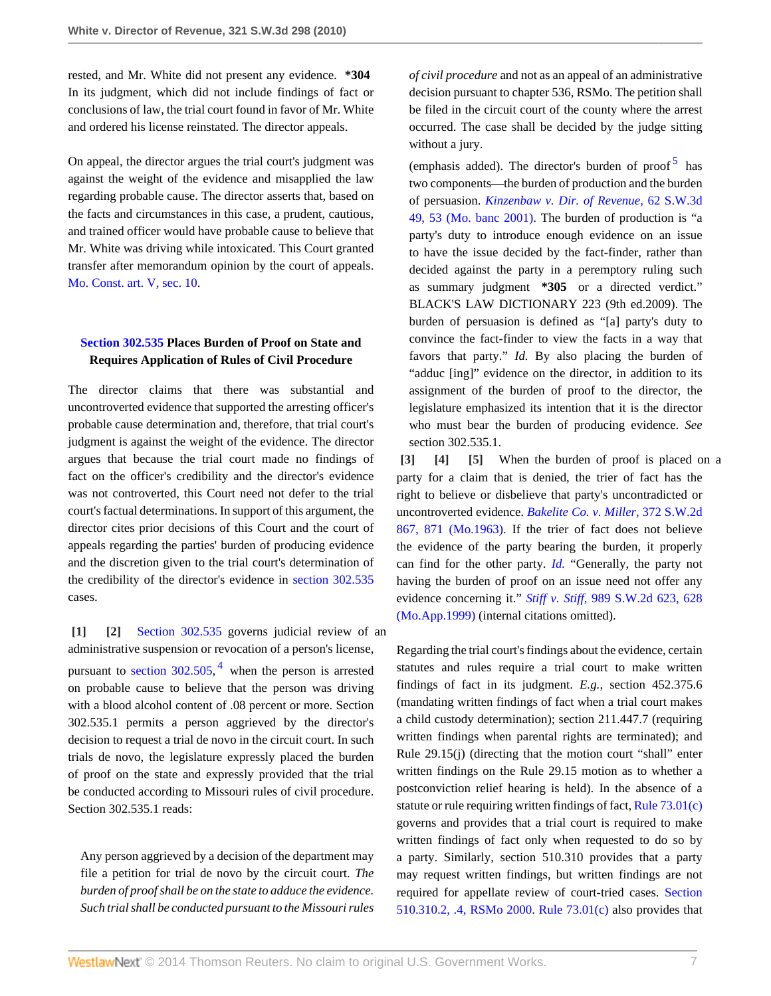rested, and Mr. White did not present any evidence. **\*304** In its judgment, which did not include findings of fact or conclusions of law, the trial court found in favor of Mr. White and ordered his license reinstated. The director appeals.

On appeal, the director argues the trial court's judgment was against the weight of the evidence and misapplied the law regarding probable cause. The director asserts that, based on the facts and circumstances in this case, a prudent, cautious, and trained officer would have probable cause to believe that Mr. White was driving while intoxicated. This Court granted transfer after memorandum opinion by the court of appeals. [Mo. Const. art. V, sec. 10.](http://www.westlaw.com/Link/Document/FullText?findType=L&pubNum=1000229&cite=MOCNART5S10&originatingDoc=I7d53ec1eac4f11df8228ac372eb82649&refType=LQ&originationContext=document&vr=3.0&rs=cblt1.0&transitionType=DocumentItem&contextData=(sc.Search))

# **[Section 302.535](http://www.westlaw.com/Link/Document/FullText?findType=L&pubNum=1000229&cite=MOST302.535&originatingDoc=I7d53ec1eac4f11df8228ac372eb82649&refType=LQ&originationContext=document&vr=3.0&rs=cblt1.0&transitionType=DocumentItem&contextData=(sc.Search)) Places Burden of Proof on State and Requires Application of Rules of Civil Procedure**

The director claims that there was substantial and uncontroverted evidence that supported the arresting officer's probable cause determination and, therefore, that trial court's judgment is against the weight of the evidence. The director argues that because the trial court made no findings of fact on the officer's credibility and the director's evidence was not controverted, this Court need not defer to the trial court's factual determinations. In support of this argument, the director cites prior decisions of this Court and the court of appeals regarding the parties' burden of producing evidence and the discretion given to the trial court's determination of the credibility of the director's evidence in [section 302.535](http://www.westlaw.com/Link/Document/FullText?findType=L&pubNum=1000229&cite=MOST302.535&originatingDoc=I7d53ec1eac4f11df8228ac372eb82649&refType=LQ&originationContext=document&vr=3.0&rs=cblt1.0&transitionType=DocumentItem&contextData=(sc.Search)) cases.

<span id="page-6-5"></span><span id="page-6-1"></span><span id="page-6-0"></span>**[\[1\]](#page-0-0) [\[2\]](#page-0-1)** [Section 302.535](http://www.westlaw.com/Link/Document/FullText?findType=L&pubNum=1000229&cite=MOST302.535&originatingDoc=I7d53ec1eac4f11df8228ac372eb82649&refType=LQ&originationContext=document&vr=3.0&rs=cblt1.0&transitionType=DocumentItem&contextData=(sc.Search)) governs judicial review of an administrative suspension or revocation of a person's license, pursuant to section  $302.505$ , <sup>[4](#page-12-0)</sup> when the person is arrested on probable cause to believe that the person was driving with a blood alcohol content of .08 percent or more. Section 302.535.1 permits a person aggrieved by the director's decision to request a trial de novo in the circuit court. In such trials de novo, the legislature expressly placed the burden of proof on the state and expressly provided that the trial be conducted according to Missouri rules of civil procedure. Section 302.535.1 reads:

Any person aggrieved by a decision of the department may file a petition for trial de novo by the circuit court. *The burden of proof shall be on the state to adduce the evidence. Such trial shall be conducted pursuant to the Missouri rules* *of civil procedure* and not as an appeal of an administrative decision pursuant to chapter 536, RSMo. The petition shall be filed in the circuit court of the county where the arrest occurred. The case shall be decided by the judge sitting without a jury.

<span id="page-6-6"></span>(emphasis added). The director's burden of proof<sup>[5](#page-12-1)</sup> has two components—the burden of production and the burden of persuasion. *[Kinzenbaw v. Dir. of Revenue,](http://www.westlaw.com/Link/Document/FullText?findType=Y&serNum=2001558339&pubNum=4644&fi=co_pp_sp_4644_53&originationContext=document&vr=3.0&rs=cblt1.0&transitionType=DocumentItem&contextData=(sc.Search)#co_pp_sp_4644_53)* 62 S.W.3d [49, 53 \(Mo. banc 2001\).](http://www.westlaw.com/Link/Document/FullText?findType=Y&serNum=2001558339&pubNum=4644&fi=co_pp_sp_4644_53&originationContext=document&vr=3.0&rs=cblt1.0&transitionType=DocumentItem&contextData=(sc.Search)#co_pp_sp_4644_53) The burden of production is "a party's duty to introduce enough evidence on an issue to have the issue decided by the fact-finder, rather than decided against the party in a peremptory ruling such as summary judgment **\*305** or a directed verdict." BLACK'S LAW DICTIONARY 223 (9th ed.2009). The burden of persuasion is defined as "[a] party's duty to convince the fact-finder to view the facts in a way that favors that party." *Id.* By also placing the burden of "adduc [ing]" evidence on the director, in addition to its assignment of the burden of proof to the director, the legislature emphasized its intention that it is the director who must bear the burden of producing evidence. *See* section 302.535.1.

<span id="page-6-4"></span><span id="page-6-3"></span><span id="page-6-2"></span>**[\[3\]](#page-0-2) [\[4\]](#page-0-3) [\[5\]](#page-0-4)** When the burden of proof is placed on a party for a claim that is denied, the trier of fact has the right to believe or disbelieve that party's uncontradicted or uncontroverted evidence. *[Bakelite Co. v. Miller,](http://www.westlaw.com/Link/Document/FullText?findType=Y&serNum=1963129099&pubNum=713&fi=co_pp_sp_713_871&originationContext=document&vr=3.0&rs=cblt1.0&transitionType=DocumentItem&contextData=(sc.Search)#co_pp_sp_713_871)* 372 S.W.2d [867, 871 \(Mo.1963\).](http://www.westlaw.com/Link/Document/FullText?findType=Y&serNum=1963129099&pubNum=713&fi=co_pp_sp_713_871&originationContext=document&vr=3.0&rs=cblt1.0&transitionType=DocumentItem&contextData=(sc.Search)#co_pp_sp_713_871) If the trier of fact does not believe the evidence of the party bearing the burden, it properly can find for the other party. *[Id.](http://www.westlaw.com/Link/Document/FullText?findType=Y&serNum=1963129099&originationContext=document&vr=3.0&rs=cblt1.0&transitionType=DocumentItem&contextData=(sc.Search))* "Generally, the party not having the burden of proof on an issue need not offer any evidence concerning it." *Stiff v. Stiff,* [989 S.W.2d 623, 628](http://www.westlaw.com/Link/Document/FullText?findType=Y&serNum=1999085871&pubNum=713&fi=co_pp_sp_713_628&originationContext=document&vr=3.0&rs=cblt1.0&transitionType=DocumentItem&contextData=(sc.Search)#co_pp_sp_713_628) [\(Mo.App.1999\)](http://www.westlaw.com/Link/Document/FullText?findType=Y&serNum=1999085871&pubNum=713&fi=co_pp_sp_713_628&originationContext=document&vr=3.0&rs=cblt1.0&transitionType=DocumentItem&contextData=(sc.Search)#co_pp_sp_713_628) (internal citations omitted).

Regarding the trial court's findings about the evidence, certain statutes and rules require a trial court to make written findings of fact in its judgment. *E.g.*, section 452.375.6 (mandating written findings of fact when a trial court makes a child custody determination); section 211.447.7 (requiring written findings when parental rights are terminated); and Rule 29.15(j) (directing that the motion court "shall" enter written findings on the Rule 29.15 motion as to whether a postconviction relief hearing is held). In the absence of a statute or rule requiring written findings of fact, Rule  $73.01(c)$ governs and provides that a trial court is required to make written findings of fact only when requested to do so by a party. Similarly, section 510.310 provides that a party may request written findings, but written findings are not required for appellate review of court-tried cases. [Section](http://www.westlaw.com/Link/Document/FullText?findType=L&pubNum=1000229&cite=MOST510.310&originatingDoc=I7d53ec1eac4f11df8228ac372eb82649&refType=LQ&originationContext=document&vr=3.0&rs=cblt1.0&transitionType=DocumentItem&contextData=(sc.Search)) [510.310.2, .4, RSMo 2000.](http://www.westlaw.com/Link/Document/FullText?findType=L&pubNum=1000229&cite=MOST510.310&originatingDoc=I7d53ec1eac4f11df8228ac372eb82649&refType=LQ&originationContext=document&vr=3.0&rs=cblt1.0&transitionType=DocumentItem&contextData=(sc.Search)) [Rule 73.01\(c\)](http://www.westlaw.com/Link/Document/FullText?findType=L&pubNum=1005871&cite=MORRCPR73.01&originatingDoc=I7d53ec1eac4f11df8228ac372eb82649&refType=LQ&originationContext=document&vr=3.0&rs=cblt1.0&transitionType=DocumentItem&contextData=(sc.Search)) also provides that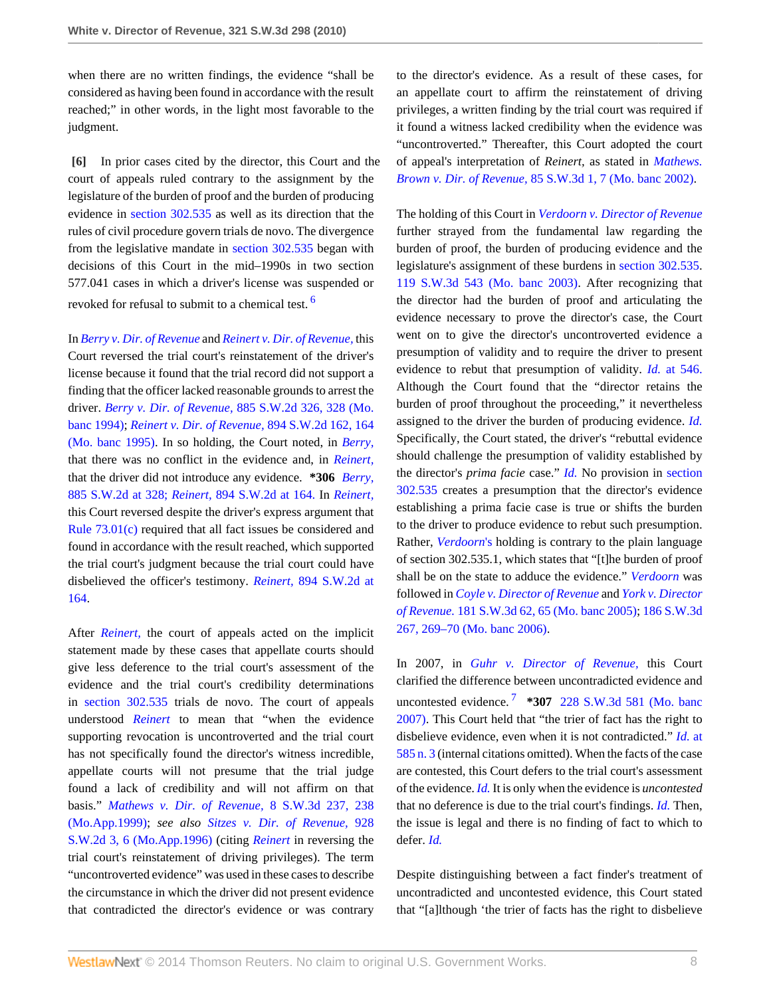when there are no written findings, the evidence "shall be considered as having been found in accordance with the result reached;" in other words, in the light most favorable to the judgment.

<span id="page-7-0"></span>**[\[6\]](#page-1-0)** In prior cases cited by the director, this Court and the court of appeals ruled contrary to the assignment by the legislature of the burden of proof and the burden of producing evidence in [section 302.535](http://www.westlaw.com/Link/Document/FullText?findType=L&pubNum=1000229&cite=MOST302.535&originatingDoc=I7d53ec1eac4f11df8228ac372eb82649&refType=LQ&originationContext=document&vr=3.0&rs=cblt1.0&transitionType=DocumentItem&contextData=(sc.Search)) as well as its direction that the rules of civil procedure govern trials de novo. The divergence from the legislative mandate in [section 302.535](http://www.westlaw.com/Link/Document/FullText?findType=L&pubNum=1000229&cite=MOST302.535&originatingDoc=I7d53ec1eac4f11df8228ac372eb82649&refType=LQ&originationContext=document&vr=3.0&rs=cblt1.0&transitionType=DocumentItem&contextData=(sc.Search)) began with decisions of this Court in the mid–1990s in two section 577.041 cases in which a driver's license was suspended or revoked for refusal to submit to a chemical test. [6](#page-12-2)

In *[Berry v. Dir. of Revenue](http://www.westlaw.com/Link/Document/FullText?findType=Y&serNum=1994212710&originationContext=document&vr=3.0&rs=cblt1.0&transitionType=DocumentItem&contextData=(sc.Search))* and *[Reinert v. Dir. of Revenue,](http://www.westlaw.com/Link/Document/FullText?findType=Y&serNum=1995058656&originationContext=document&vr=3.0&rs=cblt1.0&transitionType=DocumentItem&contextData=(sc.Search))* this Court reversed the trial court's reinstatement of the driver's license because it found that the trial record did not support a finding that the officer lacked reasonable grounds to arrest the driver. *Berry v. Dir. of Revenue,* [885 S.W.2d 326, 328 \(Mo.](http://www.westlaw.com/Link/Document/FullText?findType=Y&serNum=1994212710&pubNum=713&fi=co_pp_sp_713_328&originationContext=document&vr=3.0&rs=cblt1.0&transitionType=DocumentItem&contextData=(sc.Search)#co_pp_sp_713_328) [banc 1994\);](http://www.westlaw.com/Link/Document/FullText?findType=Y&serNum=1994212710&pubNum=713&fi=co_pp_sp_713_328&originationContext=document&vr=3.0&rs=cblt1.0&transitionType=DocumentItem&contextData=(sc.Search)#co_pp_sp_713_328) *[Reinert v. Dir. of Revenue,](http://www.westlaw.com/Link/Document/FullText?findType=Y&serNum=1995058656&pubNum=713&fi=co_pp_sp_713_164&originationContext=document&vr=3.0&rs=cblt1.0&transitionType=DocumentItem&contextData=(sc.Search)#co_pp_sp_713_164)* 894 S.W.2d 162, 164 [\(Mo. banc 1995\)](http://www.westlaw.com/Link/Document/FullText?findType=Y&serNum=1995058656&pubNum=713&fi=co_pp_sp_713_164&originationContext=document&vr=3.0&rs=cblt1.0&transitionType=DocumentItem&contextData=(sc.Search)#co_pp_sp_713_164). In so holding, the Court noted, in *[Berry,](http://www.westlaw.com/Link/Document/FullText?findType=Y&serNum=1994212710&originationContext=document&vr=3.0&rs=cblt1.0&transitionType=DocumentItem&contextData=(sc.Search))* that there was no conflict in the evidence and, in *[Reinert,](http://www.westlaw.com/Link/Document/FullText?findType=Y&serNum=1995058656&originationContext=document&vr=3.0&rs=cblt1.0&transitionType=DocumentItem&contextData=(sc.Search))* that the driver did not introduce any evidence. **\*306** *[Berry,](http://www.westlaw.com/Link/Document/FullText?findType=Y&serNum=1994212710&pubNum=713&fi=co_pp_sp_713_328&originationContext=document&vr=3.0&rs=cblt1.0&transitionType=DocumentItem&contextData=(sc.Search)#co_pp_sp_713_328)* [885 S.W.2d at 328;](http://www.westlaw.com/Link/Document/FullText?findType=Y&serNum=1994212710&pubNum=713&fi=co_pp_sp_713_328&originationContext=document&vr=3.0&rs=cblt1.0&transitionType=DocumentItem&contextData=(sc.Search)#co_pp_sp_713_328) *Reinert,* [894 S.W.2d at 164.](http://www.westlaw.com/Link/Document/FullText?findType=Y&serNum=1995058656&pubNum=713&fi=co_pp_sp_713_164&originationContext=document&vr=3.0&rs=cblt1.0&transitionType=DocumentItem&contextData=(sc.Search)#co_pp_sp_713_164) In *[Reinert,](http://www.westlaw.com/Link/Document/FullText?findType=Y&serNum=1995058656&originationContext=document&vr=3.0&rs=cblt1.0&transitionType=DocumentItem&contextData=(sc.Search))* this Court reversed despite the driver's express argument that [Rule 73.01\(c\)](http://www.westlaw.com/Link/Document/FullText?findType=L&pubNum=1005871&cite=MORRCPR73.01&originatingDoc=I7d53ec1eac4f11df8228ac372eb82649&refType=LQ&originationContext=document&vr=3.0&rs=cblt1.0&transitionType=DocumentItem&contextData=(sc.Search)) required that all fact issues be considered and found in accordance with the result reached, which supported the trial court's judgment because the trial court could have disbelieved the officer's testimony. *Reinert,* [894 S.W.2d at](http://www.westlaw.com/Link/Document/FullText?findType=Y&serNum=1995058656&pubNum=713&fi=co_pp_sp_713_164&originationContext=document&vr=3.0&rs=cblt1.0&transitionType=DocumentItem&contextData=(sc.Search)#co_pp_sp_713_164) [164](http://www.westlaw.com/Link/Document/FullText?findType=Y&serNum=1995058656&pubNum=713&fi=co_pp_sp_713_164&originationContext=document&vr=3.0&rs=cblt1.0&transitionType=DocumentItem&contextData=(sc.Search)#co_pp_sp_713_164).

After *[Reinert,](http://www.westlaw.com/Link/Document/FullText?findType=Y&serNum=1995058656&originationContext=document&vr=3.0&rs=cblt1.0&transitionType=DocumentItem&contextData=(sc.Search))* the court of appeals acted on the implicit statement made by these cases that appellate courts should give less deference to the trial court's assessment of the evidence and the trial court's credibility determinations in [section 302.535](http://www.westlaw.com/Link/Document/FullText?findType=L&pubNum=1000229&cite=MOST302.535&originatingDoc=I7d53ec1eac4f11df8228ac372eb82649&refType=LQ&originationContext=document&vr=3.0&rs=cblt1.0&transitionType=DocumentItem&contextData=(sc.Search)) trials de novo. The court of appeals understood *[Reinert](http://www.westlaw.com/Link/Document/FullText?findType=Y&serNum=1995058656&originationContext=document&vr=3.0&rs=cblt1.0&transitionType=DocumentItem&contextData=(sc.Search))* to mean that "when the evidence supporting revocation is uncontroverted and the trial court has not specifically found the director's witness incredible, appellate courts will not presume that the trial judge found a lack of credibility and will not affirm on that basis." *[Mathews v. Dir. of Revenue,](http://www.westlaw.com/Link/Document/FullText?findType=Y&serNum=1999274874&pubNum=4644&fi=co_pp_sp_4644_238&originationContext=document&vr=3.0&rs=cblt1.0&transitionType=DocumentItem&contextData=(sc.Search)#co_pp_sp_4644_238)* 8 S.W.3d 237, 238 [\(Mo.App.1999\);](http://www.westlaw.com/Link/Document/FullText?findType=Y&serNum=1999274874&pubNum=4644&fi=co_pp_sp_4644_238&originationContext=document&vr=3.0&rs=cblt1.0&transitionType=DocumentItem&contextData=(sc.Search)#co_pp_sp_4644_238) *see also [Sitzes v. Dir. of Revenue,](http://www.westlaw.com/Link/Document/FullText?findType=Y&serNum=1996192246&pubNum=713&fi=co_pp_sp_713_6&originationContext=document&vr=3.0&rs=cblt1.0&transitionType=DocumentItem&contextData=(sc.Search)#co_pp_sp_713_6)* 928 [S.W.2d 3, 6 \(Mo.App.1996\)](http://www.westlaw.com/Link/Document/FullText?findType=Y&serNum=1996192246&pubNum=713&fi=co_pp_sp_713_6&originationContext=document&vr=3.0&rs=cblt1.0&transitionType=DocumentItem&contextData=(sc.Search)#co_pp_sp_713_6) (citing *[Reinert](http://www.westlaw.com/Link/Document/FullText?findType=Y&serNum=1995058656&originationContext=document&vr=3.0&rs=cblt1.0&transitionType=DocumentItem&contextData=(sc.Search))* in reversing the trial court's reinstatement of driving privileges). The term "uncontroverted evidence" was used in these cases to describe the circumstance in which the driver did not present evidence that contradicted the director's evidence or was contrary

to the director's evidence. As a result of these cases, for an appellate court to affirm the reinstatement of driving privileges, a written finding by the trial court was required if it found a witness lacked credibility when the evidence was "uncontroverted." Thereafter, this Court adopted the court of appeal's interpretation of *Reinert,* as stated in *[Mathews.](http://www.westlaw.com/Link/Document/FullText?findType=Y&serNum=1999274874&originationContext=document&vr=3.0&rs=cblt1.0&transitionType=DocumentItem&contextData=(sc.Search)) Brown v. Dir. of Revenue,* [85 S.W.3d 1, 7 \(Mo. banc 2002\)](http://www.westlaw.com/Link/Document/FullText?findType=Y&serNum=2002606004&pubNum=4644&fi=co_pp_sp_4644_7&originationContext=document&vr=3.0&rs=cblt1.0&transitionType=DocumentItem&contextData=(sc.Search)#co_pp_sp_4644_7).

<span id="page-7-1"></span>The holding of this Court in *[Verdoorn v. Director of Revenue](http://www.westlaw.com/Link/Document/FullText?findType=Y&serNum=2003873683&originationContext=document&vr=3.0&rs=cblt1.0&transitionType=DocumentItem&contextData=(sc.Search))* further strayed from the fundamental law regarding the burden of proof, the burden of producing evidence and the legislature's assignment of these burdens in [section 302.535](http://www.westlaw.com/Link/Document/FullText?findType=L&pubNum=1000229&cite=MOST302.535&originatingDoc=I7d53ec1eac4f11df8228ac372eb82649&refType=LQ&originationContext=document&vr=3.0&rs=cblt1.0&transitionType=DocumentItem&contextData=(sc.Search)). [119 S.W.3d 543 \(Mo. banc 2003\).](http://www.westlaw.com/Link/Document/FullText?findType=Y&serNum=2003873683&pubNum=4644&originationContext=document&vr=3.0&rs=cblt1.0&transitionType=DocumentItem&contextData=(sc.Search)) After recognizing that the director had the burden of proof and articulating the evidence necessary to prove the director's case, the Court went on to give the director's uncontroverted evidence a presumption of validity and to require the driver to present evidence to rebut that presumption of validity. *Id.* [at 546.](http://www.westlaw.com/Link/Document/FullText?findType=Y&serNum=2003873683&originationContext=document&vr=3.0&rs=cblt1.0&transitionType=DocumentItem&contextData=(sc.Search)) Although the Court found that the "director retains the burden of proof throughout the proceeding," it nevertheless assigned to the driver the burden of producing evidence. *[Id.](http://www.westlaw.com/Link/Document/FullText?findType=Y&serNum=2003873683&originationContext=document&vr=3.0&rs=cblt1.0&transitionType=DocumentItem&contextData=(sc.Search))* Specifically, the Court stated, the driver's "rebuttal evidence should challenge the presumption of validity established by the director's *prima facie* case." *[Id.](http://www.westlaw.com/Link/Document/FullText?findType=Y&serNum=2003873683&originationContext=document&vr=3.0&rs=cblt1.0&transitionType=DocumentItem&contextData=(sc.Search))* No provision in [section](http://www.westlaw.com/Link/Document/FullText?findType=L&pubNum=1000229&cite=MOST302.535&originatingDoc=I7d53ec1eac4f11df8228ac372eb82649&refType=LQ&originationContext=document&vr=3.0&rs=cblt1.0&transitionType=DocumentItem&contextData=(sc.Search)) [302.535](http://www.westlaw.com/Link/Document/FullText?findType=L&pubNum=1000229&cite=MOST302.535&originatingDoc=I7d53ec1eac4f11df8228ac372eb82649&refType=LQ&originationContext=document&vr=3.0&rs=cblt1.0&transitionType=DocumentItem&contextData=(sc.Search)) creates a presumption that the director's evidence establishing a prima facie case is true or shifts the burden to the driver to produce evidence to rebut such presumption. Rather, *[Verdoorn](http://www.westlaw.com/Link/Document/FullText?findType=Y&serNum=2003873683&originationContext=document&vr=3.0&rs=cblt1.0&transitionType=DocumentItem&contextData=(sc.Search))*'s holding is contrary to the plain language of section 302.535.1, which states that "[t]he burden of proof shall be on the state to adduce the evidence." *[Verdoorn](http://www.westlaw.com/Link/Document/FullText?findType=Y&serNum=2003873683&originationContext=document&vr=3.0&rs=cblt1.0&transitionType=DocumentItem&contextData=(sc.Search))* was followed in *[Coyle v. Director of Revenue](http://www.westlaw.com/Link/Document/FullText?findType=Y&serNum=2007723751&originationContext=document&vr=3.0&rs=cblt1.0&transitionType=DocumentItem&contextData=(sc.Search))* and *[York v. Director](http://www.westlaw.com/Link/Document/FullText?findType=Y&serNum=2008726799&originationContext=document&vr=3.0&rs=cblt1.0&transitionType=DocumentItem&contextData=(sc.Search)) [of Revenue.](http://www.westlaw.com/Link/Document/FullText?findType=Y&serNum=2008726799&originationContext=document&vr=3.0&rs=cblt1.0&transitionType=DocumentItem&contextData=(sc.Search))* [181 S.W.3d 62, 65 \(Mo. banc 2005\);](http://www.westlaw.com/Link/Document/FullText?findType=Y&serNum=2007723751&pubNum=4644&fi=co_pp_sp_4644_65&originationContext=document&vr=3.0&rs=cblt1.0&transitionType=DocumentItem&contextData=(sc.Search)#co_pp_sp_4644_65) [186 S.W.3d](http://www.westlaw.com/Link/Document/FullText?findType=Y&serNum=2008726799&pubNum=4644&fi=co_pp_sp_4644_269&originationContext=document&vr=3.0&rs=cblt1.0&transitionType=DocumentItem&contextData=(sc.Search)#co_pp_sp_4644_269) [267, 269–70 \(Mo. banc 2006\)](http://www.westlaw.com/Link/Document/FullText?findType=Y&serNum=2008726799&pubNum=4644&fi=co_pp_sp_4644_269&originationContext=document&vr=3.0&rs=cblt1.0&transitionType=DocumentItem&contextData=(sc.Search)#co_pp_sp_4644_269).

<span id="page-7-2"></span>In 2007, in *[Guhr v. Director of Revenue,](http://www.westlaw.com/Link/Document/FullText?findType=Y&serNum=2012546101&originationContext=document&vr=3.0&rs=cblt1.0&transitionType=DocumentItem&contextData=(sc.Search))* this Court clarified the difference between uncontradicted evidence and uncontested evidence. [7](#page-12-3) **\*307** [228 S.W.3d 581 \(Mo. banc](http://www.westlaw.com/Link/Document/FullText?findType=Y&serNum=2012546101&pubNum=4644&originationContext=document&vr=3.0&rs=cblt1.0&transitionType=DocumentItem&contextData=(sc.Search)) [2007\)](http://www.westlaw.com/Link/Document/FullText?findType=Y&serNum=2012546101&pubNum=4644&originationContext=document&vr=3.0&rs=cblt1.0&transitionType=DocumentItem&contextData=(sc.Search)). This Court held that "the trier of fact has the right to disbelieve evidence, even when it is not contradicted." *[Id.](http://www.westlaw.com/Link/Document/FullText?findType=Y&serNum=2012546101&originationContext=document&vr=3.0&rs=cblt1.0&transitionType=DocumentItem&contextData=(sc.Search))* at [585 n. 3](http://www.westlaw.com/Link/Document/FullText?findType=Y&serNum=2012546101&originationContext=document&vr=3.0&rs=cblt1.0&transitionType=DocumentItem&contextData=(sc.Search)) (internal citations omitted). When the facts of the case are contested, this Court defers to the trial court's assessment of the evidence. *[Id.](http://www.westlaw.com/Link/Document/FullText?findType=Y&serNum=2012546101&originationContext=document&vr=3.0&rs=cblt1.0&transitionType=DocumentItem&contextData=(sc.Search))* It is only when the evidence is *uncontested* that no deference is due to the trial court's findings. *[Id.](http://www.westlaw.com/Link/Document/FullText?findType=Y&serNum=2012546101&originationContext=document&vr=3.0&rs=cblt1.0&transitionType=DocumentItem&contextData=(sc.Search))* Then, the issue is legal and there is no finding of fact to which to defer. *[Id.](http://www.westlaw.com/Link/Document/FullText?findType=Y&serNum=2012546101&originationContext=document&vr=3.0&rs=cblt1.0&transitionType=DocumentItem&contextData=(sc.Search))*

Despite distinguishing between a fact finder's treatment of uncontradicted and uncontested evidence, this Court stated that "[a]lthough 'the trier of facts has the right to disbelieve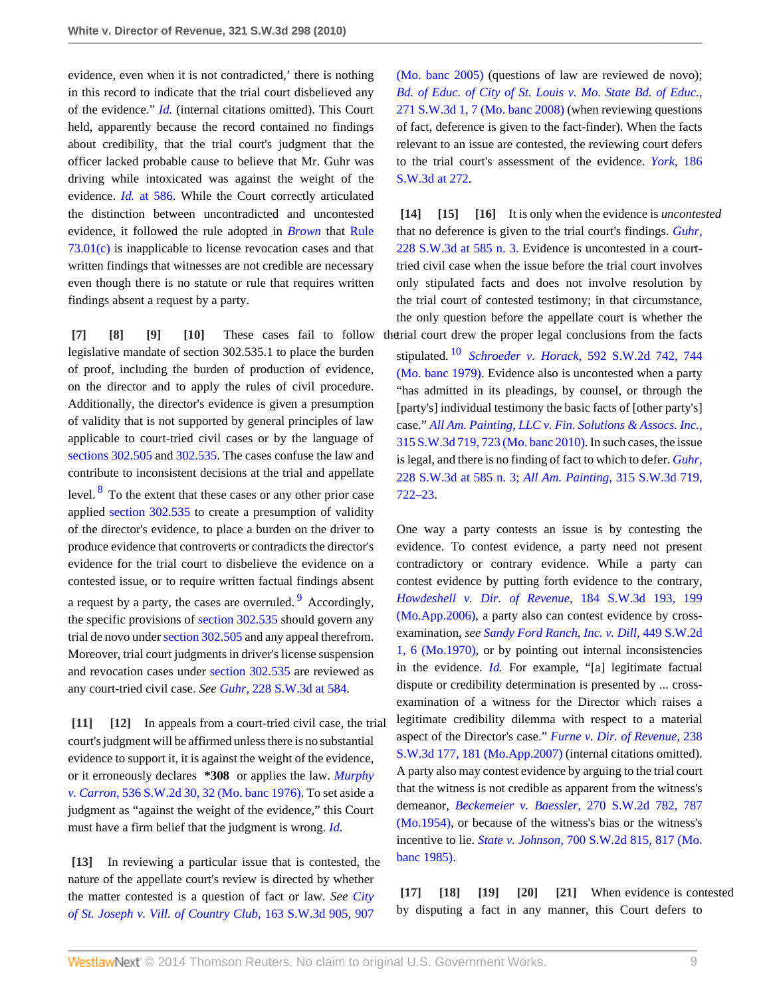evidence, even when it is not contradicted,' there is nothing in this record to indicate that the trial court disbelieved any of the evidence." *[Id.](http://www.westlaw.com/Link/Document/FullText?findType=Y&serNum=2012546101&originationContext=document&vr=3.0&rs=cblt1.0&transitionType=DocumentItem&contextData=(sc.Search))* (internal citations omitted). This Court held, apparently because the record contained no findings about credibility, that the trial court's judgment that the officer lacked probable cause to believe that Mr. Guhr was driving while intoxicated was against the weight of the evidence. *Id.* [at 586.](http://www.westlaw.com/Link/Document/FullText?findType=Y&serNum=2012546101&originationContext=document&vr=3.0&rs=cblt1.0&transitionType=DocumentItem&contextData=(sc.Search)) While the Court correctly articulated the distinction between uncontradicted and uncontested evidence, it followed the rule adopted in *[Brown](http://www.westlaw.com/Link/Document/FullText?findType=Y&serNum=2002606004&originationContext=document&vr=3.0&rs=cblt1.0&transitionType=DocumentItem&contextData=(sc.Search))* that [Rule](http://www.westlaw.com/Link/Document/FullText?findType=L&pubNum=1005871&cite=MORRCPR73.01&originatingDoc=I7d53ec1eac4f11df8228ac372eb82649&refType=LQ&originationContext=document&vr=3.0&rs=cblt1.0&transitionType=DocumentItem&contextData=(sc.Search)) [73.01\(c\)](http://www.westlaw.com/Link/Document/FullText?findType=L&pubNum=1005871&cite=MORRCPR73.01&originatingDoc=I7d53ec1eac4f11df8228ac372eb82649&refType=LQ&originationContext=document&vr=3.0&rs=cblt1.0&transitionType=DocumentItem&contextData=(sc.Search)) is inapplicable to license revocation cases and that written findings that witnesses are not credible are necessary even though there is no statute or rule that requires written findings absent a request by a party.

<span id="page-8-15"></span><span id="page-8-3"></span><span id="page-8-2"></span><span id="page-8-1"></span><span id="page-8-0"></span>**[\[7\]](#page-1-1) [\[8\]](#page-1-2) [\[9\]](#page-1-3) [\[10\]](#page-1-4)** These cases fail to follow legislative mandate of section 302.535.1 to place the burden of proof, including the burden of production of evidence, on the director and to apply the rules of civil procedure. Additionally, the director's evidence is given a presumption of validity that is not supported by general principles of law applicable to court-tried civil cases or by the language of [sections 302.505](http://www.westlaw.com/Link/Document/FullText?findType=L&pubNum=1000229&cite=MOST302.505&originatingDoc=I7d53ec1eac4f11df8228ac372eb82649&refType=LQ&originationContext=document&vr=3.0&rs=cblt1.0&transitionType=DocumentItem&contextData=(sc.Search)) and [302.535](http://www.westlaw.com/Link/Document/FullText?findType=L&pubNum=1000229&cite=MOST302.535&originatingDoc=I7d53ec1eac4f11df8228ac372eb82649&refType=LQ&originationContext=document&vr=3.0&rs=cblt1.0&transitionType=DocumentItem&contextData=(sc.Search)). The cases confuse the law and contribute to inconsistent decisions at the trial and appellate level.  $8^8$  $8^8$  To the extent that these cases or any other prior case applied [section 302.535](http://www.westlaw.com/Link/Document/FullText?findType=L&pubNum=1000229&cite=MOST302.535&originatingDoc=I7d53ec1eac4f11df8228ac372eb82649&refType=LQ&originationContext=document&vr=3.0&rs=cblt1.0&transitionType=DocumentItem&contextData=(sc.Search)) to create a presumption of validity of the director's evidence, to place a burden on the driver to produce evidence that controverts or contradicts the director's evidence for the trial court to disbelieve the evidence on a contested issue, or to require written factual findings absent a request by a party, the cases are overruled. <sup>[9](#page-12-5)</sup> Accordingly, the specific provisions of [section 302.535](http://www.westlaw.com/Link/Document/FullText?findType=L&pubNum=1000229&cite=MOST302.535&originatingDoc=I7d53ec1eac4f11df8228ac372eb82649&refType=LQ&originationContext=document&vr=3.0&rs=cblt1.0&transitionType=DocumentItem&contextData=(sc.Search)) should govern any trial de novo under [section 302.505](http://www.westlaw.com/Link/Document/FullText?findType=L&pubNum=1000229&cite=MOST302.505&originatingDoc=I7d53ec1eac4f11df8228ac372eb82649&refType=LQ&originationContext=document&vr=3.0&rs=cblt1.0&transitionType=DocumentItem&contextData=(sc.Search)) and any appeal therefrom. Moreover, trial court judgments in driver's license suspension and revocation cases under [section 302.535](http://www.westlaw.com/Link/Document/FullText?findType=L&pubNum=1000229&cite=MOST302.535&originatingDoc=I7d53ec1eac4f11df8228ac372eb82649&refType=LQ&originationContext=document&vr=3.0&rs=cblt1.0&transitionType=DocumentItem&contextData=(sc.Search)) are reviewed as any court-tried civil case. *See Guhr,* [228 S.W.3d at 584](http://www.westlaw.com/Link/Document/FullText?findType=Y&serNum=2012546101&pubNum=4644&fi=co_pp_sp_4644_584&originationContext=document&vr=3.0&rs=cblt1.0&transitionType=DocumentItem&contextData=(sc.Search)#co_pp_sp_4644_584).

<span id="page-8-5"></span><span id="page-8-4"></span>**[\[11\]](#page-1-5) [\[12\]](#page-2-0)** In appeals from a court-tried civil case, the trial court's judgment will be affirmed unless there is no substantial evidence to support it, it is against the weight of the evidence, or it erroneously declares **\*308** or applies the law. *[Murphy](http://www.westlaw.com/Link/Document/FullText?findType=Y&serNum=1976117479&pubNum=713&fi=co_pp_sp_713_32&originationContext=document&vr=3.0&rs=cblt1.0&transitionType=DocumentItem&contextData=(sc.Search)#co_pp_sp_713_32) v. Carron,* [536 S.W.2d 30, 32 \(Mo. banc 1976\).](http://www.westlaw.com/Link/Document/FullText?findType=Y&serNum=1976117479&pubNum=713&fi=co_pp_sp_713_32&originationContext=document&vr=3.0&rs=cblt1.0&transitionType=DocumentItem&contextData=(sc.Search)#co_pp_sp_713_32) To set aside a judgment as "against the weight of the evidence," this Court must have a firm belief that the judgment is wrong. *[Id.](http://www.westlaw.com/Link/Document/FullText?findType=Y&serNum=1976117479&originationContext=document&vr=3.0&rs=cblt1.0&transitionType=DocumentItem&contextData=(sc.Search))*

<span id="page-8-6"></span>**[\[13\]](#page-2-1)** In reviewing a particular issue that is contested, the nature of the appellate court's review is directed by whether the matter contested is a question of fact or law. *See [City](http://www.westlaw.com/Link/Document/FullText?findType=Y&serNum=2006711752&pubNum=4644&fi=co_pp_sp_4644_907&originationContext=document&vr=3.0&rs=cblt1.0&transitionType=DocumentItem&contextData=(sc.Search)#co_pp_sp_4644_907) [of St. Joseph v. Vill. of Country Club,](http://www.westlaw.com/Link/Document/FullText?findType=Y&serNum=2006711752&pubNum=4644&fi=co_pp_sp_4644_907&originationContext=document&vr=3.0&rs=cblt1.0&transitionType=DocumentItem&contextData=(sc.Search)#co_pp_sp_4644_907)* 163 S.W.3d 905, 907

[\(Mo. banc 2005\)](http://www.westlaw.com/Link/Document/FullText?findType=Y&serNum=2006711752&pubNum=4644&fi=co_pp_sp_4644_907&originationContext=document&vr=3.0&rs=cblt1.0&transitionType=DocumentItem&contextData=(sc.Search)#co_pp_sp_4644_907) (questions of law are reviewed de novo); *[Bd. of Educ. of City of St. Louis v. Mo. State Bd. of Educ.,](http://www.westlaw.com/Link/Document/FullText?findType=Y&serNum=2017669452&pubNum=4644&fi=co_pp_sp_4644_7&originationContext=document&vr=3.0&rs=cblt1.0&transitionType=DocumentItem&contextData=(sc.Search)#co_pp_sp_4644_7)* [271 S.W.3d 1, 7 \(Mo. banc 2008\)](http://www.westlaw.com/Link/Document/FullText?findType=Y&serNum=2017669452&pubNum=4644&fi=co_pp_sp_4644_7&originationContext=document&vr=3.0&rs=cblt1.0&transitionType=DocumentItem&contextData=(sc.Search)#co_pp_sp_4644_7) (when reviewing questions of fact, deference is given to the fact-finder). When the facts relevant to an issue are contested, the reviewing court defers to the trial court's assessment of the evidence. *[York,](http://www.westlaw.com/Link/Document/FullText?findType=Y&serNum=2008726799&pubNum=4644&fi=co_pp_sp_4644_272&originationContext=document&vr=3.0&rs=cblt1.0&transitionType=DocumentItem&contextData=(sc.Search)#co_pp_sp_4644_272)* 186 [S.W.3d at 272](http://www.westlaw.com/Link/Document/FullText?findType=Y&serNum=2008726799&pubNum=4644&fi=co_pp_sp_4644_272&originationContext=document&vr=3.0&rs=cblt1.0&transitionType=DocumentItem&contextData=(sc.Search)#co_pp_sp_4644_272).

<span id="page-8-9"></span><span id="page-8-8"></span><span id="page-8-7"></span>**[\[14\]](#page-2-2) [\[15](#page-2-3)] [\[16\]](#page-2-4)** It is only when the evidence is *uncontested* that no deference is given to the trial court's findings. *[Guhr,](http://www.westlaw.com/Link/Document/FullText?findType=Y&serNum=2012546101&pubNum=4644&fi=co_pp_sp_4644_585&originationContext=document&vr=3.0&rs=cblt1.0&transitionType=DocumentItem&contextData=(sc.Search)#co_pp_sp_4644_585)* [228 S.W.3d at 585 n. 3.](http://www.westlaw.com/Link/Document/FullText?findType=Y&serNum=2012546101&pubNum=4644&fi=co_pp_sp_4644_585&originationContext=document&vr=3.0&rs=cblt1.0&transitionType=DocumentItem&contextData=(sc.Search)#co_pp_sp_4644_585) Evidence is uncontested in a courttried civil case when the issue before the trial court involves only stipulated facts and does not involve resolution by the trial court of contested testimony; in that circumstance, the only question before the appellate court is whether the the trial court drew the proper legal conclusions from the facts

<span id="page-8-17"></span>stipulated. [10](#page-12-6) *Schroeder v. Horack,* [592 S.W.2d 742, 744](http://www.westlaw.com/Link/Document/FullText?findType=Y&serNum=1979140280&pubNum=713&fi=co_pp_sp_713_744&originationContext=document&vr=3.0&rs=cblt1.0&transitionType=DocumentItem&contextData=(sc.Search)#co_pp_sp_713_744) [\(Mo. banc 1979\)](http://www.westlaw.com/Link/Document/FullText?findType=Y&serNum=1979140280&pubNum=713&fi=co_pp_sp_713_744&originationContext=document&vr=3.0&rs=cblt1.0&transitionType=DocumentItem&contextData=(sc.Search)#co_pp_sp_713_744). Evidence also is uncontested when a party "has admitted in its pleadings, by counsel, or through the [party's] individual testimony the basic facts of [other party's] case." *[All Am. Painting, LLC v. Fin. Solutions & Assocs. Inc.,](http://www.westlaw.com/Link/Document/FullText?findType=Y&serNum=2022488813&pubNum=4644&fi=co_pp_sp_4644_723&originationContext=document&vr=3.0&rs=cblt1.0&transitionType=DocumentItem&contextData=(sc.Search)#co_pp_sp_4644_723)* [315 S.W.3d 719, 723 \(Mo. banc 2010\).](http://www.westlaw.com/Link/Document/FullText?findType=Y&serNum=2022488813&pubNum=4644&fi=co_pp_sp_4644_723&originationContext=document&vr=3.0&rs=cblt1.0&transitionType=DocumentItem&contextData=(sc.Search)#co_pp_sp_4644_723) In such cases, the issue is legal, and there is no finding of fact to which to defer. *[Guhr,](http://www.westlaw.com/Link/Document/FullText?findType=Y&serNum=2012546101&pubNum=4644&fi=co_pp_sp_4644_585&originationContext=document&vr=3.0&rs=cblt1.0&transitionType=DocumentItem&contextData=(sc.Search)#co_pp_sp_4644_585)* [228 S.W.3d at 585 n. 3;](http://www.westlaw.com/Link/Document/FullText?findType=Y&serNum=2012546101&pubNum=4644&fi=co_pp_sp_4644_585&originationContext=document&vr=3.0&rs=cblt1.0&transitionType=DocumentItem&contextData=(sc.Search)#co_pp_sp_4644_585) *[All Am. Painting,](http://www.westlaw.com/Link/Document/FullText?findType=Y&serNum=2022488813&pubNum=4644&fi=co_pp_sp_4644_722&originationContext=document&vr=3.0&rs=cblt1.0&transitionType=DocumentItem&contextData=(sc.Search)#co_pp_sp_4644_722)* 315 S.W.3d 719, [722–23](http://www.westlaw.com/Link/Document/FullText?findType=Y&serNum=2022488813&pubNum=4644&fi=co_pp_sp_4644_722&originationContext=document&vr=3.0&rs=cblt1.0&transitionType=DocumentItem&contextData=(sc.Search)#co_pp_sp_4644_722).

<span id="page-8-16"></span>One way a party contests an issue is by contesting the evidence. To contest evidence, a party need not present contradictory or contrary evidence. While a party can contest evidence by putting forth evidence to the contrary, *[Howdeshell v. Dir. of Revenue,](http://www.westlaw.com/Link/Document/FullText?findType=Y&serNum=2008503104&pubNum=4644&fi=co_pp_sp_4644_199&originationContext=document&vr=3.0&rs=cblt1.0&transitionType=DocumentItem&contextData=(sc.Search)#co_pp_sp_4644_199)* 184 S.W.3d 193, 199 [\(Mo.App.2006\),](http://www.westlaw.com/Link/Document/FullText?findType=Y&serNum=2008503104&pubNum=4644&fi=co_pp_sp_4644_199&originationContext=document&vr=3.0&rs=cblt1.0&transitionType=DocumentItem&contextData=(sc.Search)#co_pp_sp_4644_199) a party also can contest evidence by crossexamination, *see [Sandy Ford Ranch, Inc. v. Dill,](http://www.westlaw.com/Link/Document/FullText?findType=Y&serNum=1970136399&pubNum=713&fi=co_pp_sp_713_6&originationContext=document&vr=3.0&rs=cblt1.0&transitionType=DocumentItem&contextData=(sc.Search)#co_pp_sp_713_6)* 449 S.W.2d [1, 6 \(Mo.1970\),](http://www.westlaw.com/Link/Document/FullText?findType=Y&serNum=1970136399&pubNum=713&fi=co_pp_sp_713_6&originationContext=document&vr=3.0&rs=cblt1.0&transitionType=DocumentItem&contextData=(sc.Search)#co_pp_sp_713_6) or by pointing out internal inconsistencies in the evidence. *[Id.](http://www.westlaw.com/Link/Document/FullText?findType=Y&serNum=1970136399&originationContext=document&vr=3.0&rs=cblt1.0&transitionType=DocumentItem&contextData=(sc.Search))* For example, "[a] legitimate factual dispute or credibility determination is presented by ... crossexamination of a witness for the Director which raises a legitimate credibility dilemma with respect to a material aspect of the Director's case." *[Furne v. Dir. of Revenue,](http://www.westlaw.com/Link/Document/FullText?findType=Y&serNum=2012990937&pubNum=4644&fi=co_pp_sp_4644_181&originationContext=document&vr=3.0&rs=cblt1.0&transitionType=DocumentItem&contextData=(sc.Search)#co_pp_sp_4644_181)* 238 [S.W.3d 177, 181 \(Mo.App.2007\)](http://www.westlaw.com/Link/Document/FullText?findType=Y&serNum=2012990937&pubNum=4644&fi=co_pp_sp_4644_181&originationContext=document&vr=3.0&rs=cblt1.0&transitionType=DocumentItem&contextData=(sc.Search)#co_pp_sp_4644_181) (internal citations omitted). A party also may contest evidence by arguing to the trial court that the witness is not credible as apparent from the witness's demeanor, *[Beckemeier v. Baessler,](http://www.westlaw.com/Link/Document/FullText?findType=Y&serNum=1954122740&pubNum=713&fi=co_pp_sp_713_787&originationContext=document&vr=3.0&rs=cblt1.0&transitionType=DocumentItem&contextData=(sc.Search)#co_pp_sp_713_787)* 270 S.W.2d 782, 787 [\(Mo.1954\)](http://www.westlaw.com/Link/Document/FullText?findType=Y&serNum=1954122740&pubNum=713&fi=co_pp_sp_713_787&originationContext=document&vr=3.0&rs=cblt1.0&transitionType=DocumentItem&contextData=(sc.Search)#co_pp_sp_713_787), or because of the witness's bias or the witness's incentive to lie. *State v. Johnson,* [700 S.W.2d 815, 817 \(Mo.](http://www.westlaw.com/Link/Document/FullText?findType=Y&serNum=1985157638&pubNum=713&fi=co_pp_sp_713_817&originationContext=document&vr=3.0&rs=cblt1.0&transitionType=DocumentItem&contextData=(sc.Search)#co_pp_sp_713_817) [banc 1985\).](http://www.westlaw.com/Link/Document/FullText?findType=Y&serNum=1985157638&pubNum=713&fi=co_pp_sp_713_817&originationContext=document&vr=3.0&rs=cblt1.0&transitionType=DocumentItem&contextData=(sc.Search)#co_pp_sp_713_817)

<span id="page-8-14"></span><span id="page-8-13"></span><span id="page-8-12"></span><span id="page-8-11"></span><span id="page-8-10"></span>**[\[17\]](#page-2-5) [\[18\]](#page-2-6) [\[19](#page-2-7)] [\[20\]](#page-2-8) [\[21\]](#page-2-9)** When evidence is contested by disputing a fact in any manner, this Court defers to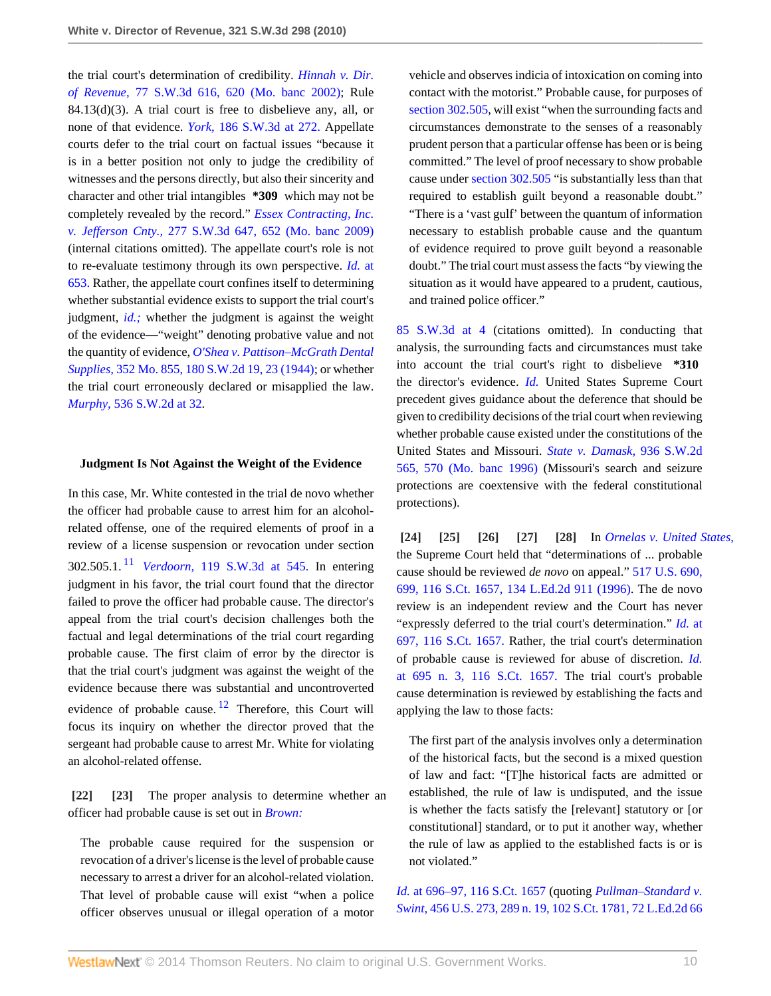the trial court's determination of credibility. *[Hinnah v. Dir.](http://www.westlaw.com/Link/Document/FullText?findType=Y&serNum=2002392519&pubNum=4644&fi=co_pp_sp_4644_620&originationContext=document&vr=3.0&rs=cblt1.0&transitionType=DocumentItem&contextData=(sc.Search)#co_pp_sp_4644_620) of Revenue,* [77 S.W.3d 616, 620 \(Mo. banc 2002\);](http://www.westlaw.com/Link/Document/FullText?findType=Y&serNum=2002392519&pubNum=4644&fi=co_pp_sp_4644_620&originationContext=document&vr=3.0&rs=cblt1.0&transitionType=DocumentItem&contextData=(sc.Search)#co_pp_sp_4644_620) Rule 84.13(d)(3). A trial court is free to disbelieve any, all, or none of that evidence. *York,* [186 S.W.3d at 272.](http://www.westlaw.com/Link/Document/FullText?findType=Y&serNum=2008726799&pubNum=4644&fi=co_pp_sp_4644_272&originationContext=document&vr=3.0&rs=cblt1.0&transitionType=DocumentItem&contextData=(sc.Search)#co_pp_sp_4644_272) Appellate courts defer to the trial court on factual issues "because it is in a better position not only to judge the credibility of witnesses and the persons directly, but also their sincerity and character and other trial intangibles **\*309** which may not be completely revealed by the record." *[Essex Contracting, Inc.](http://www.westlaw.com/Link/Document/FullText?findType=Y&serNum=2018207456&pubNum=4644&fi=co_pp_sp_4644_652&originationContext=document&vr=3.0&rs=cblt1.0&transitionType=DocumentItem&contextData=(sc.Search)#co_pp_sp_4644_652) v. Jefferson Cnty.,* [277 S.W.3d 647, 652 \(Mo. banc 2009\)](http://www.westlaw.com/Link/Document/FullText?findType=Y&serNum=2018207456&pubNum=4644&fi=co_pp_sp_4644_652&originationContext=document&vr=3.0&rs=cblt1.0&transitionType=DocumentItem&contextData=(sc.Search)#co_pp_sp_4644_652) (internal citations omitted). The appellate court's role is not to re-evaluate testimony through its own perspective. *Id.* [at](http://www.westlaw.com/Link/Document/FullText?findType=Y&serNum=2018207456&originationContext=document&vr=3.0&rs=cblt1.0&transitionType=DocumentItem&contextData=(sc.Search)) [653.](http://www.westlaw.com/Link/Document/FullText?findType=Y&serNum=2018207456&originationContext=document&vr=3.0&rs=cblt1.0&transitionType=DocumentItem&contextData=(sc.Search)) Rather, the appellate court confines itself to determining whether substantial evidence exists to support the trial court's judgment, *[id.;](http://www.westlaw.com/Link/Document/FullText?findType=Y&serNum=2018207456&originationContext=document&vr=3.0&rs=cblt1.0&transitionType=DocumentItem&contextData=(sc.Search))* whether the judgment is against the weight of the evidence—"weight" denoting probative value and not the quantity of evidence, *[O'Shea v. Pattison–McGrath Dental](http://www.westlaw.com/Link/Document/FullText?findType=Y&serNum=1944112513&pubNum=713&fi=co_pp_sp_713_23&originationContext=document&vr=3.0&rs=cblt1.0&transitionType=DocumentItem&contextData=(sc.Search)#co_pp_sp_713_23) Supplies,* [352 Mo. 855, 180 S.W.2d 19, 23 \(1944\);](http://www.westlaw.com/Link/Document/FullText?findType=Y&serNum=1944112513&pubNum=713&fi=co_pp_sp_713_23&originationContext=document&vr=3.0&rs=cblt1.0&transitionType=DocumentItem&contextData=(sc.Search)#co_pp_sp_713_23) or whether the trial court erroneously declared or misapplied the law. *Murphy,* [536 S.W.2d at 32](http://www.westlaw.com/Link/Document/FullText?findType=Y&serNum=1976117479&pubNum=713&fi=co_pp_sp_713_32&originationContext=document&vr=3.0&rs=cblt1.0&transitionType=DocumentItem&contextData=(sc.Search)#co_pp_sp_713_32).

### **Judgment Is Not Against the Weight of the Evidence**

<span id="page-9-7"></span>In this case, Mr. White contested in the trial de novo whether the officer had probable cause to arrest him for an alcoholrelated offense, one of the required elements of proof in a review of a license suspension or revocation under section 302.505.1. [11](#page-12-7) *Verdoorn,* [119 S.W.3d at 545.](http://www.westlaw.com/Link/Document/FullText?findType=Y&serNum=2003873683&pubNum=4644&fi=co_pp_sp_4644_545&originationContext=document&vr=3.0&rs=cblt1.0&transitionType=DocumentItem&contextData=(sc.Search)#co_pp_sp_4644_545) In entering judgment in his favor, the trial court found that the director failed to prove the officer had probable cause. The director's appeal from the trial court's decision challenges both the factual and legal determinations of the trial court regarding probable cause. The first claim of error by the director is that the trial court's judgment was against the weight of the evidence because there was substantial and uncontroverted evidence of probable cause.  $12$  Therefore, this Court will focus its inquiry on whether the director proved that the sergeant had probable cause to arrest Mr. White for violating an alcohol-related offense.

<span id="page-9-8"></span><span id="page-9-1"></span><span id="page-9-0"></span>**[\[22\]](#page-3-0) [\[23\]](#page-3-1)** The proper analysis to determine whether an officer had probable cause is set out in *[Brown:](http://www.westlaw.com/Link/Document/FullText?findType=Y&serNum=2002606004&originationContext=document&vr=3.0&rs=cblt1.0&transitionType=DocumentItem&contextData=(sc.Search))*

The probable cause required for the suspension or revocation of a driver's license is the level of probable cause necessary to arrest a driver for an alcohol-related violation. That level of probable cause will exist "when a police officer observes unusual or illegal operation of a motor vehicle and observes indicia of intoxication on coming into contact with the motorist." Probable cause, for purposes of [section 302.505,](http://www.westlaw.com/Link/Document/FullText?findType=L&pubNum=1000229&cite=MOST302.505&originatingDoc=I7d53ec1eac4f11df8228ac372eb82649&refType=LQ&originationContext=document&vr=3.0&rs=cblt1.0&transitionType=DocumentItem&contextData=(sc.Search)) will exist "when the surrounding facts and circumstances demonstrate to the senses of a reasonably prudent person that a particular offense has been or is being committed." The level of proof necessary to show probable cause under [section 302.505](http://www.westlaw.com/Link/Document/FullText?findType=L&pubNum=1000229&cite=MOST302.505&originatingDoc=I7d53ec1eac4f11df8228ac372eb82649&refType=LQ&originationContext=document&vr=3.0&rs=cblt1.0&transitionType=DocumentItem&contextData=(sc.Search)) "is substantially less than that required to establish guilt beyond a reasonable doubt." "There is a 'vast gulf' between the quantum of information necessary to establish probable cause and the quantum of evidence required to prove guilt beyond a reasonable doubt." The trial court must assess the facts "by viewing the situation as it would have appeared to a prudent, cautious, and trained police officer."

[85 S.W.3d at 4](http://www.westlaw.com/Link/Document/FullText?findType=Y&serNum=2002606004&pubNum=4644&fi=co_pp_sp_4644_4&originationContext=document&vr=3.0&rs=cblt1.0&transitionType=DocumentItem&contextData=(sc.Search)#co_pp_sp_4644_4) (citations omitted). In conducting that analysis, the surrounding facts and circumstances must take into account the trial court's right to disbelieve **\*310** the director's evidence. *[Id.](http://www.westlaw.com/Link/Document/FullText?findType=Y&serNum=2002606004&originationContext=document&vr=3.0&rs=cblt1.0&transitionType=DocumentItem&contextData=(sc.Search))* United States Supreme Court precedent gives guidance about the deference that should be given to credibility decisions of the trial court when reviewing whether probable cause existed under the constitutions of the United States and Missouri. *[State v. Damask,](http://www.westlaw.com/Link/Document/FullText?findType=Y&serNum=1996277265&pubNum=713&fi=co_pp_sp_713_570&originationContext=document&vr=3.0&rs=cblt1.0&transitionType=DocumentItem&contextData=(sc.Search)#co_pp_sp_713_570)* 936 S.W.2d [565, 570 \(Mo. banc 1996\)](http://www.westlaw.com/Link/Document/FullText?findType=Y&serNum=1996277265&pubNum=713&fi=co_pp_sp_713_570&originationContext=document&vr=3.0&rs=cblt1.0&transitionType=DocumentItem&contextData=(sc.Search)#co_pp_sp_713_570) (Missouri's search and seizure protections are coextensive with the federal constitutional protections).

<span id="page-9-6"></span><span id="page-9-5"></span><span id="page-9-4"></span><span id="page-9-3"></span><span id="page-9-2"></span>**[\[24\]](#page-3-2) [\[25](#page-3-3)] [\[26](#page-3-4)] [\[27\]](#page-3-5) [\[28\]](#page-3-6)** In *[Ornelas v. United States](http://www.westlaw.com/Link/Document/FullText?findType=Y&serNum=1996122298&originationContext=document&vr=3.0&rs=cblt1.0&transitionType=DocumentItem&contextData=(sc.Search))*, the Supreme Court held that "determinations of ... probable cause should be reviewed *de novo* on appeal." [517 U.S. 690,](http://www.westlaw.com/Link/Document/FullText?findType=Y&serNum=1996122298&pubNum=708&originationContext=document&vr=3.0&rs=cblt1.0&transitionType=DocumentItem&contextData=(sc.Search)) [699, 116 S.Ct. 1657, 134 L.Ed.2d 911 \(1996\)](http://www.westlaw.com/Link/Document/FullText?findType=Y&serNum=1996122298&pubNum=708&originationContext=document&vr=3.0&rs=cblt1.0&transitionType=DocumentItem&contextData=(sc.Search)). The de novo review is an independent review and the Court has never "expressly deferred to the trial court's determination." *[Id.](http://www.westlaw.com/Link/Document/FullText?findType=Y&serNum=1996122298&pubNum=708&originationContext=document&vr=3.0&rs=cblt1.0&transitionType=DocumentItem&contextData=(sc.Search))* at [697, 116 S.Ct. 1657.](http://www.westlaw.com/Link/Document/FullText?findType=Y&serNum=1996122298&pubNum=708&originationContext=document&vr=3.0&rs=cblt1.0&transitionType=DocumentItem&contextData=(sc.Search)) Rather, the trial court's determination of probable cause is reviewed for abuse of discretion. *[Id.](http://www.westlaw.com/Link/Document/FullText?findType=Y&serNum=1996122298&pubNum=708&originationContext=document&vr=3.0&rs=cblt1.0&transitionType=DocumentItem&contextData=(sc.Search))* [at 695 n. 3, 116 S.Ct. 1657.](http://www.westlaw.com/Link/Document/FullText?findType=Y&serNum=1996122298&pubNum=708&originationContext=document&vr=3.0&rs=cblt1.0&transitionType=DocumentItem&contextData=(sc.Search)) The trial court's probable cause determination is reviewed by establishing the facts and applying the law to those facts:

The first part of the analysis involves only a determination of the historical facts, but the second is a mixed question of law and fact: "[T]he historical facts are admitted or established, the rule of law is undisputed, and the issue is whether the facts satisfy the [relevant] statutory or [or constitutional] standard, or to put it another way, whether the rule of law as applied to the established facts is or is not violated."

*Id.* [at 696–97, 116 S.Ct. 1657](http://www.westlaw.com/Link/Document/FullText?findType=Y&serNum=1996122298&pubNum=708&originationContext=document&vr=3.0&rs=cblt1.0&transitionType=DocumentItem&contextData=(sc.Search)) (quoting *[Pullman–Standard v.](http://www.westlaw.com/Link/Document/FullText?findType=Y&serNum=1982119203&pubNum=708&originationContext=document&vr=3.0&rs=cblt1.0&transitionType=DocumentItem&contextData=(sc.Search)) Swint,* [456 U.S. 273, 289 n. 19, 102 S.Ct. 1781, 72 L.Ed.2d 66](http://www.westlaw.com/Link/Document/FullText?findType=Y&serNum=1982119203&pubNum=708&originationContext=document&vr=3.0&rs=cblt1.0&transitionType=DocumentItem&contextData=(sc.Search))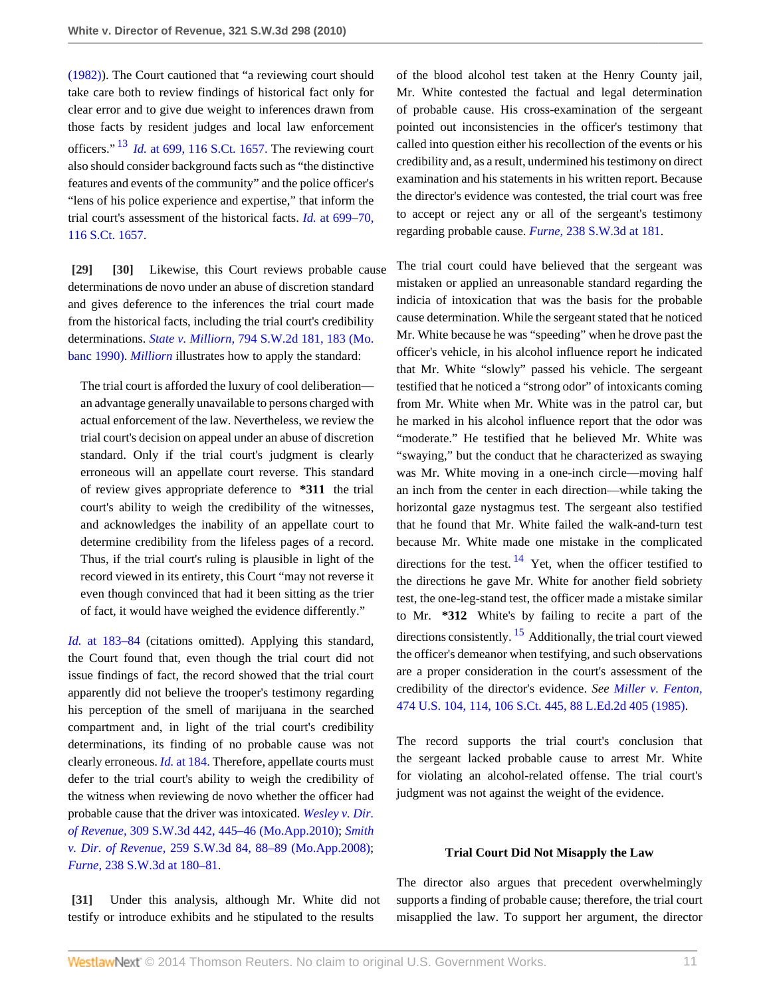<span id="page-10-3"></span>[\(1982\)\)](http://www.westlaw.com/Link/Document/FullText?findType=Y&serNum=1982119203&pubNum=708&originationContext=document&vr=3.0&rs=cblt1.0&transitionType=DocumentItem&contextData=(sc.Search)). The Court cautioned that "a reviewing court should take care both to review findings of historical fact only for clear error and to give due weight to inferences drawn from those facts by resident judges and local law enforcement officers." [13](#page-12-9) *Id.* [at 699, 116 S.Ct. 1657.](http://www.westlaw.com/Link/Document/FullText?findType=Y&serNum=1996122298&pubNum=708&originationContext=document&vr=3.0&rs=cblt1.0&transitionType=DocumentItem&contextData=(sc.Search)) The reviewing court also should consider background facts such as "the distinctive features and events of the community" and the police officer's "lens of his police experience and expertise," that inform the trial court's assessment of the historical facts. *Id.* [at 699–70,](http://www.westlaw.com/Link/Document/FullText?findType=Y&serNum=1996122298&pubNum=708&originationContext=document&vr=3.0&rs=cblt1.0&transitionType=DocumentItem&contextData=(sc.Search)) [116 S.Ct. 1657.](http://www.westlaw.com/Link/Document/FullText?findType=Y&serNum=1996122298&pubNum=708&originationContext=document&vr=3.0&rs=cblt1.0&transitionType=DocumentItem&contextData=(sc.Search))

<span id="page-10-1"></span><span id="page-10-0"></span>**[\[29\]](#page-3-7) [\[30\]](#page-4-1)** Likewise, this Court reviews probable cause determinations de novo under an abuse of discretion standard and gives deference to the inferences the trial court made from the historical facts, including the trial court's credibility determinations. *State v. Milliorn,* [794 S.W.2d 181, 183 \(Mo.](http://www.westlaw.com/Link/Document/FullText?findType=Y&serNum=1990116475&pubNum=713&fi=co_pp_sp_713_183&originationContext=document&vr=3.0&rs=cblt1.0&transitionType=DocumentItem&contextData=(sc.Search)#co_pp_sp_713_183) [banc 1990\).](http://www.westlaw.com/Link/Document/FullText?findType=Y&serNum=1990116475&pubNum=713&fi=co_pp_sp_713_183&originationContext=document&vr=3.0&rs=cblt1.0&transitionType=DocumentItem&contextData=(sc.Search)#co_pp_sp_713_183) *[Milliorn](http://www.westlaw.com/Link/Document/FullText?findType=Y&serNum=1990116475&originationContext=document&vr=3.0&rs=cblt1.0&transitionType=DocumentItem&contextData=(sc.Search))* illustrates how to apply the standard:

The trial court is afforded the luxury of cool deliberation an advantage generally unavailable to persons charged with actual enforcement of the law. Nevertheless, we review the trial court's decision on appeal under an abuse of discretion standard. Only if the trial court's judgment is clearly erroneous will an appellate court reverse. This standard of review gives appropriate deference to **\*311** the trial court's ability to weigh the credibility of the witnesses, and acknowledges the inability of an appellate court to determine credibility from the lifeless pages of a record. Thus, if the trial court's ruling is plausible in light of the record viewed in its entirety, this Court "may not reverse it even though convinced that had it been sitting as the trier of fact, it would have weighed the evidence differently."

*Id.* [at 183–84](http://www.westlaw.com/Link/Document/FullText?findType=Y&serNum=1990116475&originationContext=document&vr=3.0&rs=cblt1.0&transitionType=DocumentItem&contextData=(sc.Search)) (citations omitted). Applying this standard, the Court found that, even though the trial court did not issue findings of fact, the record showed that the trial court apparently did not believe the trooper's testimony regarding his perception of the smell of marijuana in the searched compartment and, in light of the trial court's credibility determinations, its finding of no probable cause was not clearly erroneous. *Id.* [at 184.](http://www.westlaw.com/Link/Document/FullText?findType=Y&serNum=1990116475&originationContext=document&vr=3.0&rs=cblt1.0&transitionType=DocumentItem&contextData=(sc.Search)) Therefore, appellate courts must defer to the trial court's ability to weigh the credibility of the witness when reviewing de novo whether the officer had probable cause that the driver was intoxicated. *[Wesley v. Dir.](http://www.westlaw.com/Link/Document/FullText?findType=Y&serNum=2021915407&pubNum=4644&fi=co_pp_sp_4644_445&originationContext=document&vr=3.0&rs=cblt1.0&transitionType=DocumentItem&contextData=(sc.Search)#co_pp_sp_4644_445) of Revenue,* [309 S.W.3d 442, 445–46 \(Mo.App.2010\);](http://www.westlaw.com/Link/Document/FullText?findType=Y&serNum=2021915407&pubNum=4644&fi=co_pp_sp_4644_445&originationContext=document&vr=3.0&rs=cblt1.0&transitionType=DocumentItem&contextData=(sc.Search)#co_pp_sp_4644_445) *[Smith](http://www.westlaw.com/Link/Document/FullText?findType=Y&serNum=2015951033&pubNum=4644&fi=co_pp_sp_4644_88&originationContext=document&vr=3.0&rs=cblt1.0&transitionType=DocumentItem&contextData=(sc.Search)#co_pp_sp_4644_88) v. Dir. of Revenue,* [259 S.W.3d 84, 88–89 \(Mo.App.2008\)](http://www.westlaw.com/Link/Document/FullText?findType=Y&serNum=2015951033&pubNum=4644&fi=co_pp_sp_4644_88&originationContext=document&vr=3.0&rs=cblt1.0&transitionType=DocumentItem&contextData=(sc.Search)#co_pp_sp_4644_88); *Furne,* [238 S.W.3d at 180–81](http://www.westlaw.com/Link/Document/FullText?findType=Y&serNum=2012990937&pubNum=4644&fi=co_pp_sp_4644_180&originationContext=document&vr=3.0&rs=cblt1.0&transitionType=DocumentItem&contextData=(sc.Search)#co_pp_sp_4644_180).

<span id="page-10-2"></span>**[\[31\]](#page-4-0)** Under this analysis, although Mr. White did not testify or introduce exhibits and he stipulated to the results

of the blood alcohol test taken at the Henry County jail, Mr. White contested the factual and legal determination of probable cause. His cross-examination of the sergeant pointed out inconsistencies in the officer's testimony that called into question either his recollection of the events or his credibility and, as a result, undermined his testimony on direct examination and his statements in his written report. Because the director's evidence was contested, the trial court was free to accept or reject any or all of the sergeant's testimony regarding probable cause. *Furne,* [238 S.W.3d at 181.](http://www.westlaw.com/Link/Document/FullText?findType=Y&serNum=2012990937&pubNum=4644&fi=co_pp_sp_4644_181&originationContext=document&vr=3.0&rs=cblt1.0&transitionType=DocumentItem&contextData=(sc.Search)#co_pp_sp_4644_181)

The trial court could have believed that the sergeant was mistaken or applied an unreasonable standard regarding the indicia of intoxication that was the basis for the probable cause determination. While the sergeant stated that he noticed Mr. White because he was "speeding" when he drove past the officer's vehicle, in his alcohol influence report he indicated that Mr. White "slowly" passed his vehicle. The sergeant testified that he noticed a "strong odor" of intoxicants coming from Mr. White when Mr. White was in the patrol car, but he marked in his alcohol influence report that the odor was "moderate." He testified that he believed Mr. White was "swaying," but the conduct that he characterized as swaying was Mr. White moving in a one-inch circle—moving half an inch from the center in each direction—while taking the horizontal gaze nystagmus test. The sergeant also testified that he found that Mr. White failed the walk-and-turn test because Mr. White made one mistake in the complicated directions for the test.  $14$  Yet, when the officer testified to the directions he gave Mr. White for another field sobriety test, the one-leg-stand test, the officer made a mistake similar to Mr. **\*312** White's by failing to recite a part of the directions consistently.  $\frac{15}{2}$  $\frac{15}{2}$  $\frac{15}{2}$  Additionally, the trial court viewed the officer's demeanor when testifying, and such observations are a proper consideration in the court's assessment of the credibility of the director's evidence. *See [Miller v. Fenton,](http://www.westlaw.com/Link/Document/FullText?findType=Y&serNum=1985158621&pubNum=708&originationContext=document&vr=3.0&rs=cblt1.0&transitionType=DocumentItem&contextData=(sc.Search))* [474 U.S. 104, 114, 106 S.Ct. 445, 88 L.Ed.2d 405 \(1985\)](http://www.westlaw.com/Link/Document/FullText?findType=Y&serNum=1985158621&pubNum=708&originationContext=document&vr=3.0&rs=cblt1.0&transitionType=DocumentItem&contextData=(sc.Search)).

<span id="page-10-5"></span><span id="page-10-4"></span>The record supports the trial court's conclusion that the sergeant lacked probable cause to arrest Mr. White for violating an alcohol-related offense. The trial court's judgment was not against the weight of the evidence.

### **Trial Court Did Not Misapply the Law**

The director also argues that precedent overwhelmingly supports a finding of probable cause; therefore, the trial court misapplied the law. To support her argument, the director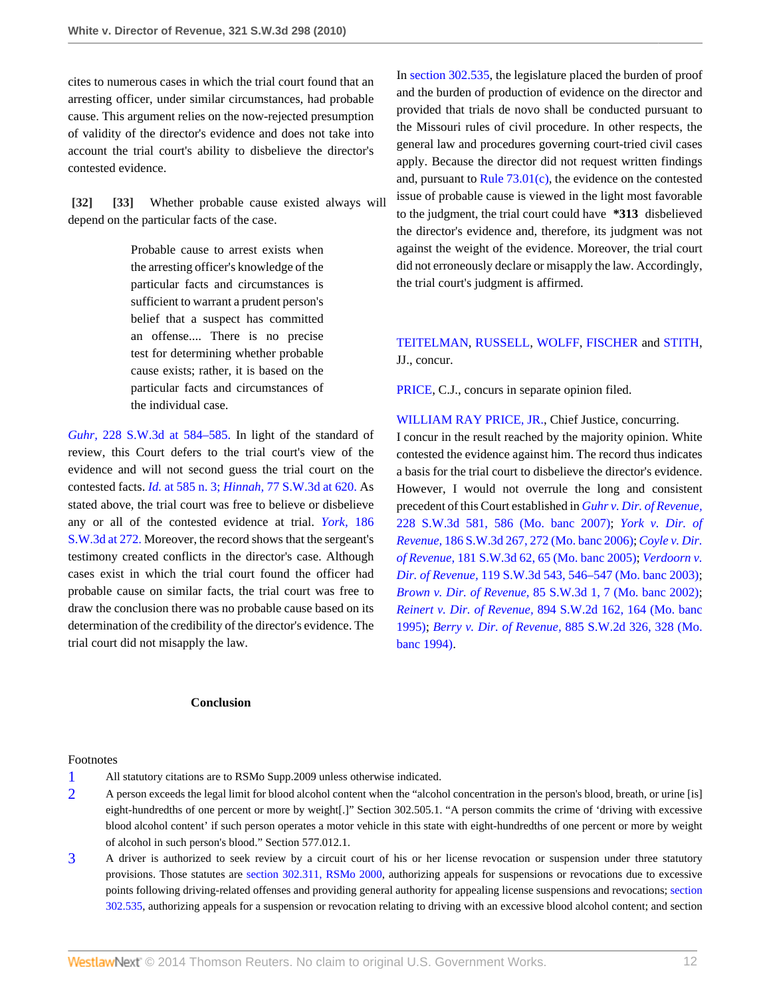cites to numerous cases in which the trial court found that an arresting officer, under similar circumstances, had probable cause. This argument relies on the now-rejected presumption of validity of the director's evidence and does not take into account the trial court's ability to disbelieve the director's contested evidence.

<span id="page-11-0"></span>**[\[32\]](#page-4-2) [\[33\]](#page-4-3)** Whether probable cause existed always will depend on the particular facts of the case.

> <span id="page-11-1"></span>Probable cause to arrest exists when the arresting officer's knowledge of the particular facts and circumstances is sufficient to warrant a prudent person's belief that a suspect has committed an offense.... There is no precise test for determining whether probable cause exists; rather, it is based on the particular facts and circumstances of the individual case.

*Guhr,* [228 S.W.3d at 584–585.](http://www.westlaw.com/Link/Document/FullText?findType=Y&serNum=2012546101&pubNum=4644&fi=co_pp_sp_4644_584&originationContext=document&vr=3.0&rs=cblt1.0&transitionType=DocumentItem&contextData=(sc.Search)#co_pp_sp_4644_584) In light of the standard of review, this Court defers to the trial court's view of the evidence and will not second guess the trial court on the contested facts. *Id.* [at 585 n. 3;](http://www.westlaw.com/Link/Document/FullText?findType=Y&serNum=2012546101&originationContext=document&vr=3.0&rs=cblt1.0&transitionType=DocumentItem&contextData=(sc.Search)) *Hinnah,* [77 S.W.3d at 620.](http://www.westlaw.com/Link/Document/FullText?findType=Y&serNum=2002392519&pubNum=4644&fi=co_pp_sp_4644_620&originationContext=document&vr=3.0&rs=cblt1.0&transitionType=DocumentItem&contextData=(sc.Search)#co_pp_sp_4644_620) As stated above, the trial court was free to believe or disbelieve any or all of the contested evidence at trial. *[York,](http://www.westlaw.com/Link/Document/FullText?findType=Y&serNum=2008726799&pubNum=4644&fi=co_pp_sp_4644_272&originationContext=document&vr=3.0&rs=cblt1.0&transitionType=DocumentItem&contextData=(sc.Search)#co_pp_sp_4644_272)* 186 [S.W.3d at 272.](http://www.westlaw.com/Link/Document/FullText?findType=Y&serNum=2008726799&pubNum=4644&fi=co_pp_sp_4644_272&originationContext=document&vr=3.0&rs=cblt1.0&transitionType=DocumentItem&contextData=(sc.Search)#co_pp_sp_4644_272) Moreover, the record shows that the sergeant's testimony created conflicts in the director's case. Although cases exist in which the trial court found the officer had probable cause on similar facts, the trial court was free to draw the conclusion there was no probable cause based on its determination of the credibility of the director's evidence. The trial court did not misapply the law.

## **Conclusion**

Footnotes

- <span id="page-11-2"></span>[1](#page-4-4) All statutory citations are to RSMo Supp.2009 unless otherwise indicated.
- <span id="page-11-3"></span>[2](#page-5-0) A person exceeds the legal limit for blood alcohol content when the "alcohol concentration in the person's blood, breath, or urine [is] eight-hundredths of one percent or more by weight[.]" Section 302.505.1. "A person commits the crime of 'driving with excessive blood alcohol content' if such person operates a motor vehicle in this state with eight-hundredths of one percent or more by weight of alcohol in such person's blood." Section 577.012.1.
- <span id="page-11-4"></span>[3](#page-5-1) A driver is authorized to seek review by a circuit court of his or her license revocation or suspension under three statutory provisions. Those statutes are [section 302.311, RSMo 2000](http://www.westlaw.com/Link/Document/FullText?findType=L&pubNum=1000229&cite=MOST302.311&originatingDoc=I7d53ec1eac4f11df8228ac372eb82649&refType=LQ&originationContext=document&vr=3.0&rs=cblt1.0&transitionType=DocumentItem&contextData=(sc.Search)), authorizing appeals for suspensions or revocations due to excessive points following driving-related offenses and providing general authority for appealing license suspensions and revocations; [section](http://www.westlaw.com/Link/Document/FullText?findType=L&pubNum=1000229&cite=MOST302.535&originatingDoc=I7d53ec1eac4f11df8228ac372eb82649&refType=LQ&originationContext=document&vr=3.0&rs=cblt1.0&transitionType=DocumentItem&contextData=(sc.Search)) [302.535](http://www.westlaw.com/Link/Document/FullText?findType=L&pubNum=1000229&cite=MOST302.535&originatingDoc=I7d53ec1eac4f11df8228ac372eb82649&refType=LQ&originationContext=document&vr=3.0&rs=cblt1.0&transitionType=DocumentItem&contextData=(sc.Search)), authorizing appeals for a suspension or revocation relating to driving with an excessive blood alcohol content; and section

In [section 302.535,](http://www.westlaw.com/Link/Document/FullText?findType=L&pubNum=1000229&cite=MOST302.535&originatingDoc=I7d53ec1eac4f11df8228ac372eb82649&refType=LQ&originationContext=document&vr=3.0&rs=cblt1.0&transitionType=DocumentItem&contextData=(sc.Search)) the legislature placed the burden of proof and the burden of production of evidence on the director and provided that trials de novo shall be conducted pursuant to the Missouri rules of civil procedure. In other respects, the general law and procedures governing court-tried civil cases apply. Because the director did not request written findings and, pursuant to [Rule 73.01\(c\)](http://www.westlaw.com/Link/Document/FullText?findType=L&pubNum=1005871&cite=MORRCPR73.01&originatingDoc=I7d53ec1eac4f11df8228ac372eb82649&refType=LQ&originationContext=document&vr=3.0&rs=cblt1.0&transitionType=DocumentItem&contextData=(sc.Search)), the evidence on the contested issue of probable cause is viewed in the light most favorable to the judgment, the trial court could have **\*313** disbelieved the director's evidence and, therefore, its judgment was not against the weight of the evidence. Moreover, the trial court did not erroneously declare or misapply the law. Accordingly, the trial court's judgment is affirmed.

# [TEITELMAN](http://www.westlaw.com/Link/Document/FullText?findType=h&pubNum=176284&cite=0176381201&originatingDoc=I7d53ec1eac4f11df8228ac372eb82649&refType=RQ&originationContext=document&vr=3.0&rs=cblt1.0&transitionType=DocumentItem&contextData=(sc.Search)), [RUSSELL,](http://www.westlaw.com/Link/Document/FullText?findType=h&pubNum=176284&cite=0156065101&originatingDoc=I7d53ec1eac4f11df8228ac372eb82649&refType=RQ&originationContext=document&vr=3.0&rs=cblt1.0&transitionType=DocumentItem&contextData=(sc.Search)) [WOLFF](http://www.westlaw.com/Link/Document/FullText?findType=h&pubNum=176284&cite=0219502801&originatingDoc=I7d53ec1eac4f11df8228ac372eb82649&refType=RQ&originationContext=document&vr=3.0&rs=cblt1.0&transitionType=DocumentItem&contextData=(sc.Search)), [FISCHER](http://www.westlaw.com/Link/Document/FullText?findType=h&pubNum=176284&cite=0284514601&originatingDoc=I7d53ec1eac4f11df8228ac372eb82649&refType=RQ&originationContext=document&vr=3.0&rs=cblt1.0&transitionType=DocumentItem&contextData=(sc.Search)) and [STITH,](http://www.westlaw.com/Link/Document/FullText?findType=h&pubNum=176284&cite=0219119401&originatingDoc=I7d53ec1eac4f11df8228ac372eb82649&refType=RQ&originationContext=document&vr=3.0&rs=cblt1.0&transitionType=DocumentItem&contextData=(sc.Search)) JJ., concur.

[PRICE](http://www.westlaw.com/Link/Document/FullText?findType=h&pubNum=176284&cite=0219133001&originatingDoc=I7d53ec1eac4f11df8228ac372eb82649&refType=RQ&originationContext=document&vr=3.0&rs=cblt1.0&transitionType=DocumentItem&contextData=(sc.Search)), C.J., concurs in separate opinion filed.

[WILLIAM RAY PRICE, JR.,](http://www.westlaw.com/Link/Document/FullText?findType=h&pubNum=176284&cite=0219133001&originatingDoc=I7d53ec1eac4f11df8228ac372eb82649&refType=RQ&originationContext=document&vr=3.0&rs=cblt1.0&transitionType=DocumentItem&contextData=(sc.Search)) Chief Justice, concurring. I concur in the result reached by the majority opinion. White contested the evidence against him. The record thus indicates a basis for the trial court to disbelieve the director's evidence. However, I would not overrule the long and consistent precedent of this Court established in *[Guhr v. Dir. of Revenue,](http://www.westlaw.com/Link/Document/FullText?findType=Y&serNum=2012546101&pubNum=4644&fi=co_pp_sp_4644_586&originationContext=document&vr=3.0&rs=cblt1.0&transitionType=DocumentItem&contextData=(sc.Search)#co_pp_sp_4644_586)* [228 S.W.3d 581, 586 \(Mo. banc 2007\);](http://www.westlaw.com/Link/Document/FullText?findType=Y&serNum=2012546101&pubNum=4644&fi=co_pp_sp_4644_586&originationContext=document&vr=3.0&rs=cblt1.0&transitionType=DocumentItem&contextData=(sc.Search)#co_pp_sp_4644_586) *[York v. Dir. of](http://www.westlaw.com/Link/Document/FullText?findType=Y&serNum=2008726799&pubNum=4644&fi=co_pp_sp_4644_272&originationContext=document&vr=3.0&rs=cblt1.0&transitionType=DocumentItem&contextData=(sc.Search)#co_pp_sp_4644_272) Revenue,* [186 S.W.3d 267, 272 \(Mo. banc 2006\)](http://www.westlaw.com/Link/Document/FullText?findType=Y&serNum=2008726799&pubNum=4644&fi=co_pp_sp_4644_272&originationContext=document&vr=3.0&rs=cblt1.0&transitionType=DocumentItem&contextData=(sc.Search)#co_pp_sp_4644_272); *[Coyle v. Dir.](http://www.westlaw.com/Link/Document/FullText?findType=Y&serNum=2007723751&pubNum=4644&fi=co_pp_sp_4644_65&originationContext=document&vr=3.0&rs=cblt1.0&transitionType=DocumentItem&contextData=(sc.Search)#co_pp_sp_4644_65) of Revenue,* [181 S.W.3d 62, 65 \(Mo. banc 2005\);](http://www.westlaw.com/Link/Document/FullText?findType=Y&serNum=2007723751&pubNum=4644&fi=co_pp_sp_4644_65&originationContext=document&vr=3.0&rs=cblt1.0&transitionType=DocumentItem&contextData=(sc.Search)#co_pp_sp_4644_65) *[Verdoorn v.](http://www.westlaw.com/Link/Document/FullText?findType=Y&serNum=2003873683&pubNum=4644&fi=co_pp_sp_4644_546&originationContext=document&vr=3.0&rs=cblt1.0&transitionType=DocumentItem&contextData=(sc.Search)#co_pp_sp_4644_546) Dir. of Revenue,* [119 S.W.3d 543, 546–547 \(Mo. banc 2003\)](http://www.westlaw.com/Link/Document/FullText?findType=Y&serNum=2003873683&pubNum=4644&fi=co_pp_sp_4644_546&originationContext=document&vr=3.0&rs=cblt1.0&transitionType=DocumentItem&contextData=(sc.Search)#co_pp_sp_4644_546); *Brown v. Dir. of Revenue,* [85 S.W.3d 1, 7 \(Mo. banc 2002\)](http://www.westlaw.com/Link/Document/FullText?findType=Y&serNum=2002606004&pubNum=4644&fi=co_pp_sp_4644_7&originationContext=document&vr=3.0&rs=cblt1.0&transitionType=DocumentItem&contextData=(sc.Search)#co_pp_sp_4644_7); *Reinert v. Dir. of Revenue,* [894 S.W.2d 162, 164 \(Mo. banc](http://www.westlaw.com/Link/Document/FullText?findType=Y&serNum=1995058656&pubNum=713&fi=co_pp_sp_713_164&originationContext=document&vr=3.0&rs=cblt1.0&transitionType=DocumentItem&contextData=(sc.Search)#co_pp_sp_713_164) [1995\)](http://www.westlaw.com/Link/Document/FullText?findType=Y&serNum=1995058656&pubNum=713&fi=co_pp_sp_713_164&originationContext=document&vr=3.0&rs=cblt1.0&transitionType=DocumentItem&contextData=(sc.Search)#co_pp_sp_713_164); *Berry v. Dir. of Revenue,* [885 S.W.2d 326, 328 \(Mo.](http://www.westlaw.com/Link/Document/FullText?findType=Y&serNum=1994212710&pubNum=713&fi=co_pp_sp_713_328&originationContext=document&vr=3.0&rs=cblt1.0&transitionType=DocumentItem&contextData=(sc.Search)#co_pp_sp_713_328) [banc 1994\).](http://www.westlaw.com/Link/Document/FullText?findType=Y&serNum=1994212710&pubNum=713&fi=co_pp_sp_713_328&originationContext=document&vr=3.0&rs=cblt1.0&transitionType=DocumentItem&contextData=(sc.Search)#co_pp_sp_713_328)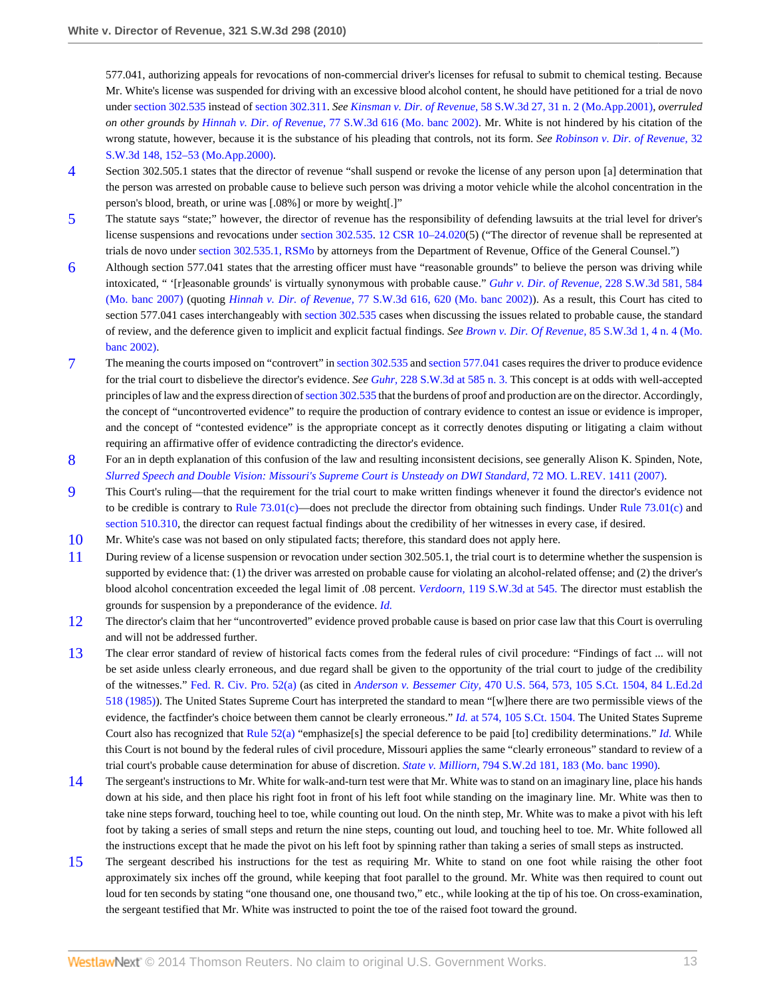577.041, authorizing appeals for revocations of non-commercial driver's licenses for refusal to submit to chemical testing. Because Mr. White's license was suspended for driving with an excessive blood alcohol content, he should have petitioned for a trial de novo under [section 302.535](http://www.westlaw.com/Link/Document/FullText?findType=L&pubNum=1000229&cite=MOST302.535&originatingDoc=I7d53ec1eac4f11df8228ac372eb82649&refType=LQ&originationContext=document&vr=3.0&rs=cblt1.0&transitionType=DocumentItem&contextData=(sc.Search)) instead of [section 302.311.](http://www.westlaw.com/Link/Document/FullText?findType=L&pubNum=1000229&cite=MOST302.311&originatingDoc=I7d53ec1eac4f11df8228ac372eb82649&refType=LQ&originationContext=document&vr=3.0&rs=cblt1.0&transitionType=DocumentItem&contextData=(sc.Search)) *See Kinsman v. Dir. of Revenue,* [58 S.W.3d 27, 31 n. 2 \(Mo.App.2001\),](http://www.westlaw.com/Link/Document/FullText?findType=Y&serNum=2001620935&pubNum=4644&fi=co_pp_sp_4644_31&originationContext=document&vr=3.0&rs=cblt1.0&transitionType=DocumentItem&contextData=(sc.Search)#co_pp_sp_4644_31) *overruled on other grounds by Hinnah v. Dir. of Revenue,* [77 S.W.3d 616 \(Mo. banc 2002\)](http://www.westlaw.com/Link/Document/FullText?findType=Y&serNum=2002392519&pubNum=4644&originationContext=document&vr=3.0&rs=cblt1.0&transitionType=DocumentItem&contextData=(sc.Search)). Mr. White is not hindered by his citation of the wrong statute, however, because it is the substance of his pleading that controls, not its form. *See [Robinson v. Dir. of Revenue,](http://www.westlaw.com/Link/Document/FullText?findType=Y&serNum=2000621025&pubNum=4644&fi=co_pp_sp_4644_152&originationContext=document&vr=3.0&rs=cblt1.0&transitionType=DocumentItem&contextData=(sc.Search)#co_pp_sp_4644_152)* 32 [S.W.3d 148, 152–53 \(Mo.App.2000\).](http://www.westlaw.com/Link/Document/FullText?findType=Y&serNum=2000621025&pubNum=4644&fi=co_pp_sp_4644_152&originationContext=document&vr=3.0&rs=cblt1.0&transitionType=DocumentItem&contextData=(sc.Search)#co_pp_sp_4644_152)

- <span id="page-12-0"></span>[4](#page-6-5) Section 302.505.1 states that the director of revenue "shall suspend or revoke the license of any person upon [a] determination that the person was arrested on probable cause to believe such person was driving a motor vehicle while the alcohol concentration in the person's blood, breath, or urine was [.08%] or more by weight[.]"
- <span id="page-12-1"></span>[5](#page-6-6) The statute says "state;" however, the director of revenue has the responsibility of defending lawsuits at the trial level for driver's license suspensions and revocations under [section 302.535](http://www.westlaw.com/Link/Document/FullText?findType=L&pubNum=1000229&cite=MOST302.535&originatingDoc=I7d53ec1eac4f11df8228ac372eb82649&refType=LQ&originationContext=document&vr=3.0&rs=cblt1.0&transitionType=DocumentItem&contextData=(sc.Search)), [12 CSR 10–24.020\(](http://www.westlaw.com/Link/Document/FullText?findType=L&pubNum=1012891&cite=12MOADC10-24.020&originatingDoc=I7d53ec1eac4f11df8228ac372eb82649&refType=LQ&originationContext=document&vr=3.0&rs=cblt1.0&transitionType=DocumentItem&contextData=(sc.Search))5) ("The director of revenue shall be represented at trials de novo under [section 302.535.1, RSMo](http://www.westlaw.com/Link/Document/FullText?findType=L&pubNum=1000229&cite=MOST302.535&originatingDoc=I7d53ec1eac4f11df8228ac372eb82649&refType=LQ&originationContext=document&vr=3.0&rs=cblt1.0&transitionType=DocumentItem&contextData=(sc.Search)) by attorneys from the Department of Revenue, Office of the General Counsel.")
- <span id="page-12-2"></span>[6](#page-7-1) Although section 577.041 states that the arresting officer must have "reasonable grounds" to believe the person was driving while intoxicated, " '[r]easonable grounds' is virtually synonymous with probable cause." *[Guhr v. Dir. of Revenue,](http://www.westlaw.com/Link/Document/FullText?findType=Y&serNum=2012546101&pubNum=4644&fi=co_pp_sp_4644_584&originationContext=document&vr=3.0&rs=cblt1.0&transitionType=DocumentItem&contextData=(sc.Search)#co_pp_sp_4644_584)* 228 S.W.3d 581, 584 [\(Mo. banc 2007\)](http://www.westlaw.com/Link/Document/FullText?findType=Y&serNum=2012546101&pubNum=4644&fi=co_pp_sp_4644_584&originationContext=document&vr=3.0&rs=cblt1.0&transitionType=DocumentItem&contextData=(sc.Search)#co_pp_sp_4644_584) (quoting *Hinnah v. Dir. of Revenue,* [77 S.W.3d 616, 620 \(Mo. banc 2002\)](http://www.westlaw.com/Link/Document/FullText?findType=Y&serNum=2002392519&pubNum=4644&fi=co_pp_sp_4644_620&originationContext=document&vr=3.0&rs=cblt1.0&transitionType=DocumentItem&contextData=(sc.Search)#co_pp_sp_4644_620)). As a result, this Court has cited to section 577.041 cases interchangeably with [section 302.535](http://www.westlaw.com/Link/Document/FullText?findType=L&pubNum=1000229&cite=MOST302.535&originatingDoc=I7d53ec1eac4f11df8228ac372eb82649&refType=LQ&originationContext=document&vr=3.0&rs=cblt1.0&transitionType=DocumentItem&contextData=(sc.Search)) cases when discussing the issues related to probable cause, the standard of review, and the deference given to implicit and explicit factual findings. *See [Brown v. Dir. Of Revenue,](http://www.westlaw.com/Link/Document/FullText?findType=Y&serNum=2002606004&pubNum=4644&fi=co_pp_sp_4644_4&originationContext=document&vr=3.0&rs=cblt1.0&transitionType=DocumentItem&contextData=(sc.Search)#co_pp_sp_4644_4)* 85 S.W.3d 1, 4 n. 4 (Mo. [banc 2002\)](http://www.westlaw.com/Link/Document/FullText?findType=Y&serNum=2002606004&pubNum=4644&fi=co_pp_sp_4644_4&originationContext=document&vr=3.0&rs=cblt1.0&transitionType=DocumentItem&contextData=(sc.Search)#co_pp_sp_4644_4).
- <span id="page-12-3"></span>[7](#page-7-2) The meaning the courts imposed on "controvert" in [section 302.535](http://www.westlaw.com/Link/Document/FullText?findType=L&pubNum=1000229&cite=MOST302.535&originatingDoc=I7d53ec1eac4f11df8228ac372eb82649&refType=LQ&originationContext=document&vr=3.0&rs=cblt1.0&transitionType=DocumentItem&contextData=(sc.Search)) and [section 577.041](http://www.westlaw.com/Link/Document/FullText?findType=L&pubNum=1000229&cite=MOST577.041&originatingDoc=I7d53ec1eac4f11df8228ac372eb82649&refType=LQ&originationContext=document&vr=3.0&rs=cblt1.0&transitionType=DocumentItem&contextData=(sc.Search)) cases requires the driver to produce evidence for the trial court to disbelieve the director's evidence. *See Guhr,* [228 S.W.3d at 585 n. 3.](http://www.westlaw.com/Link/Document/FullText?findType=Y&serNum=2012546101&pubNum=4644&fi=co_pp_sp_4644_585&originationContext=document&vr=3.0&rs=cblt1.0&transitionType=DocumentItem&contextData=(sc.Search)#co_pp_sp_4644_585) This concept is at odds with well-accepted principles of law and the express direction of [section 302.535](http://www.westlaw.com/Link/Document/FullText?findType=L&pubNum=1000229&cite=MOST302.535&originatingDoc=I7d53ec1eac4f11df8228ac372eb82649&refType=LQ&originationContext=document&vr=3.0&rs=cblt1.0&transitionType=DocumentItem&contextData=(sc.Search)) that the burdens of proof and production are on the director. Accordingly, the concept of "uncontroverted evidence" to require the production of contrary evidence to contest an issue or evidence is improper, and the concept of "contested evidence" is the appropriate concept as it correctly denotes disputing or litigating a claim without requiring an affirmative offer of evidence contradicting the director's evidence.
- <span id="page-12-4"></span>[8](#page-8-15) For an in depth explanation of this confusion of the law and resulting inconsistent decisions, see generally Alison K. Spinden, Note, *[Slurred Speech and Double Vision: Missouri's Supreme Court is Unsteady on DWI Standard,](http://www.westlaw.com/Link/Document/FullText?findType=Y&serNum=0335982663&pubNum=1196&originationContext=document&vr=3.0&rs=cblt1.0&transitionType=DocumentItem&contextData=(sc.Search))* 72 MO. L.REV. 1411 (2007).
- <span id="page-12-5"></span>[9](#page-8-16) This Court's ruling—that the requirement for the trial court to make written findings whenever it found the director's evidence not to be credible is contrary to Rule  $73.01(c)$ —does not preclude the director from obtaining such findings. Under Rule  $73.01(c)$  and [section 510.310,](http://www.westlaw.com/Link/Document/FullText?findType=L&pubNum=1000229&cite=MOST510.310&originatingDoc=I7d53ec1eac4f11df8228ac372eb82649&refType=LQ&originationContext=document&vr=3.0&rs=cblt1.0&transitionType=DocumentItem&contextData=(sc.Search)) the director can request factual findings about the credibility of her witnesses in every case, if desired.
- <span id="page-12-6"></span>[10](#page-8-17) Mr. White's case was not based on only stipulated facts; therefore, this standard does not apply here.
- <span id="page-12-7"></span>[11](#page-9-7) During review of a license suspension or revocation under section 302.505.1, the trial court is to determine whether the suspension is supported by evidence that: (1) the driver was arrested on probable cause for violating an alcohol-related offense; and (2) the driver's blood alcohol concentration exceeded the legal limit of .08 percent. *Verdoorn,* [119 S.W.3d at 545.](http://www.westlaw.com/Link/Document/FullText?findType=Y&serNum=2003873683&pubNum=4644&fi=co_pp_sp_4644_545&originationContext=document&vr=3.0&rs=cblt1.0&transitionType=DocumentItem&contextData=(sc.Search)#co_pp_sp_4644_545) The director must establish the grounds for suspension by a preponderance of the evidence. *[Id.](http://www.westlaw.com/Link/Document/FullText?findType=Y&serNum=2003873683&originationContext=document&vr=3.0&rs=cblt1.0&transitionType=DocumentItem&contextData=(sc.Search))*
- <span id="page-12-8"></span>[12](#page-9-8) The director's claim that her "uncontroverted" evidence proved probable cause is based on prior case law that this Court is overruling and will not be addressed further.
- <span id="page-12-9"></span>[13](#page-10-3) The clear error standard of review of historical facts comes from the federal rules of civil procedure: "Findings of fact ... will not be set aside unless clearly erroneous, and due regard shall be given to the opportunity of the trial court to judge of the credibility of the witnesses." [Fed. R. Civ. Pro. 52\(a\)](http://www.westlaw.com/Link/Document/FullText?findType=L&pubNum=1004365&cite=USFRCPR52&originatingDoc=I7d53ec1eac4f11df8228ac372eb82649&refType=LQ&originationContext=document&vr=3.0&rs=cblt1.0&transitionType=DocumentItem&contextData=(sc.Search)) (as cited in *Anderson v. Bessemer City,* [470 U.S. 564, 573, 105 S.Ct. 1504, 84 L.Ed.2d](http://www.westlaw.com/Link/Document/FullText?findType=Y&serNum=1985114055&pubNum=708&originationContext=document&vr=3.0&rs=cblt1.0&transitionType=DocumentItem&contextData=(sc.Search)) [518 \(1985\)\)](http://www.westlaw.com/Link/Document/FullText?findType=Y&serNum=1985114055&pubNum=708&originationContext=document&vr=3.0&rs=cblt1.0&transitionType=DocumentItem&contextData=(sc.Search)). The United States Supreme Court has interpreted the standard to mean "[w]here there are two permissible views of the evidence, the factfinder's choice between them cannot be clearly erroneous." *Id.* [at 574, 105 S.Ct. 1504.](http://www.westlaw.com/Link/Document/FullText?findType=Y&serNum=1985114055&pubNum=708&originationContext=document&vr=3.0&rs=cblt1.0&transitionType=DocumentItem&contextData=(sc.Search)) The United States Supreme Court also has recognized that [Rule 52\(a\)](http://www.westlaw.com/Link/Document/FullText?findType=L&pubNum=1004365&cite=USFRCPR52&originatingDoc=I7d53ec1eac4f11df8228ac372eb82649&refType=LQ&originationContext=document&vr=3.0&rs=cblt1.0&transitionType=DocumentItem&contextData=(sc.Search)) "emphasize[s] the special deference to be paid [to] credibility determinations." *[Id.](http://www.westlaw.com/Link/Document/FullText?findType=Y&serNum=1985114055&originationContext=document&vr=3.0&rs=cblt1.0&transitionType=DocumentItem&contextData=(sc.Search))* While this Court is not bound by the federal rules of civil procedure, Missouri applies the same "clearly erroneous" standard to review of a trial court's probable cause determination for abuse of discretion. *State v. Milliorn,* [794 S.W.2d 181, 183 \(Mo. banc 1990\)](http://www.westlaw.com/Link/Document/FullText?findType=Y&serNum=1990116475&pubNum=713&fi=co_pp_sp_713_183&originationContext=document&vr=3.0&rs=cblt1.0&transitionType=DocumentItem&contextData=(sc.Search)#co_pp_sp_713_183).
- <span id="page-12-10"></span>[14](#page-10-4) The sergeant's instructions to Mr. White for walk-and-turn test were that Mr. White was to stand on an imaginary line, place his hands down at his side, and then place his right foot in front of his left foot while standing on the imaginary line. Mr. White was then to take nine steps forward, touching heel to toe, while counting out loud. On the ninth step, Mr. White was to make a pivot with his left foot by taking a series of small steps and return the nine steps, counting out loud, and touching heel to toe. Mr. White followed all the instructions except that he made the pivot on his left foot by spinning rather than taking a series of small steps as instructed.
- <span id="page-12-11"></span>[15](#page-10-5) The sergeant described his instructions for the test as requiring Mr. White to stand on one foot while raising the other foot approximately six inches off the ground, while keeping that foot parallel to the ground. Mr. White was then required to count out loud for ten seconds by stating "one thousand one, one thousand two," etc., while looking at the tip of his toe. On cross-examination, the sergeant testified that Mr. White was instructed to point the toe of the raised foot toward the ground.